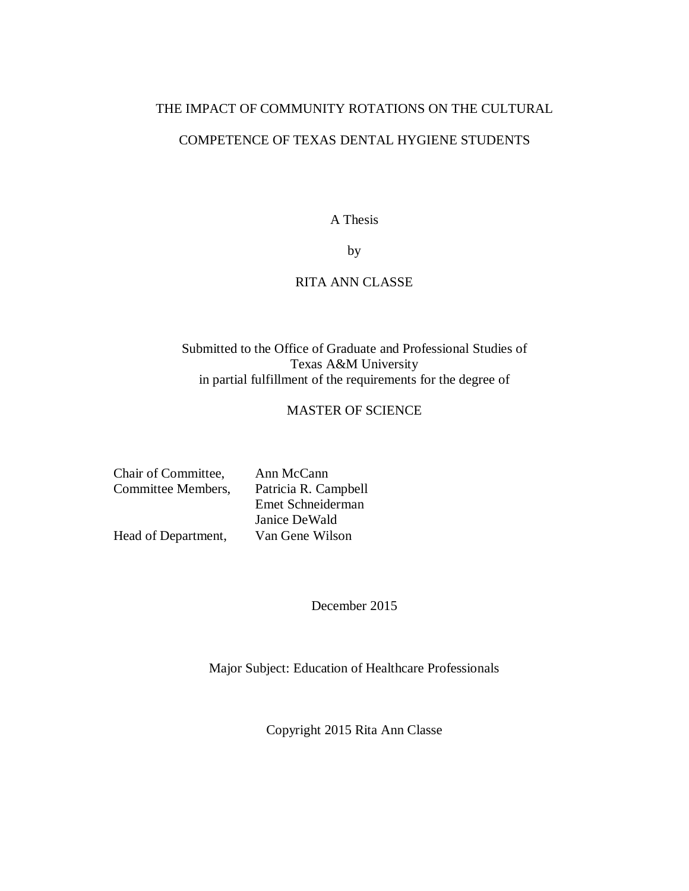# THE IMPACT OF COMMUNITY ROTATIONS ON THE CULTURAL COMPETENCE OF TEXAS DENTAL HYGIENE STUDENTS

A Thesis

by

### RITA ANN CLASSE

# Submitted to the Office of Graduate and Professional Studies of Texas A&M University in partial fulfillment of the requirements for the degree of

## MASTER OF SCIENCE

| Chair of Committee, | Ann McCann           |
|---------------------|----------------------|
| Committee Members,  | Patricia R. Campbell |
|                     | Emet Schneiderman    |
|                     | Janice DeWald        |
| Head of Department, | Van Gene Wilson      |

December 2015

Major Subject: Education of Healthcare Professionals

Copyright 2015 Rita Ann Classe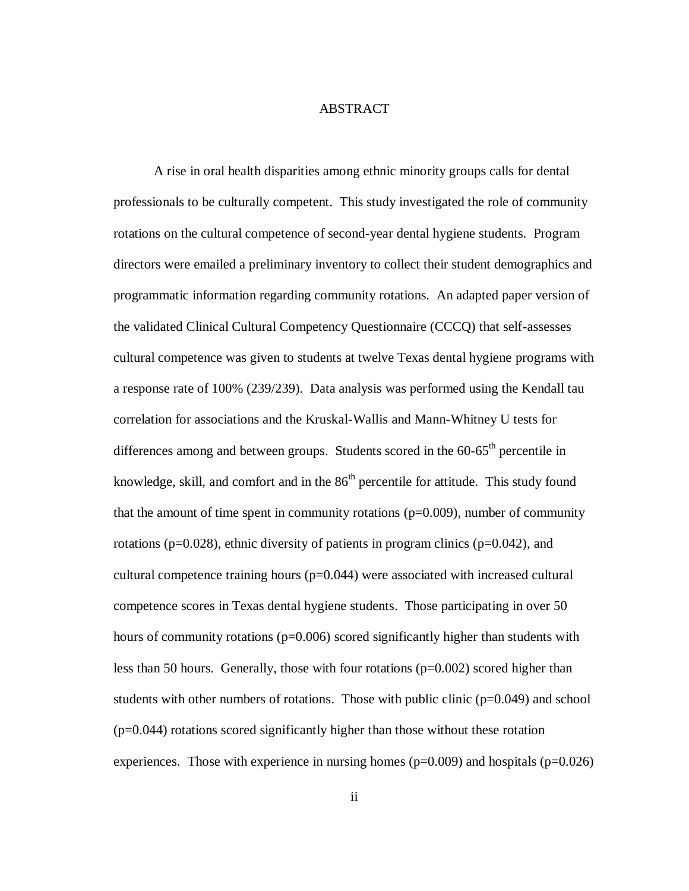#### **ABSTRACT**

A rise in oral health disparities among ethnic minority groups calls for dental professionals to be culturally competent. This study investigated the role of community rotations on the cultural competence of second-year dental hygiene students. Program directors were emailed a preliminary inventory to collect their student demographics and programmatic information regarding community rotations. An adapted paper version of the validated Clinical Cultural Competency Questionnaire (CCCQ) that self-assesses cultural competence was given to students at twelve Texas dental hygiene programs with a response rate of 100% (239/239). Data analysis was performed using the Kendall tau correlation for associations and the Kruskal-Wallis and Mann-Whitney U tests for differences among and between groups. Students scored in the  $60-65<sup>th</sup>$  percentile in knowledge, skill, and comfort and in the  $86<sup>th</sup>$  percentile for attitude. This study found that the amount of time spent in community rotations  $(p=0.009)$ , number of community rotations (p=0.028), ethnic diversity of patients in program clinics (p=0.042), and cultural competence training hours (p=0.044) were associated with increased cultural competence scores in Texas dental hygiene students. Those participating in over 50 hours of community rotations (p=0.006) scored significantly higher than students with less than 50 hours. Generally, those with four rotations (p=0.002) scored higher than students with other numbers of rotations. Those with public clinic (p=0.049) and school  $(p=0.044)$  rotations scored significantly higher than those without these rotation experiences. Those with experience in nursing homes ( $p=0.009$ ) and hospitals ( $p=0.026$ )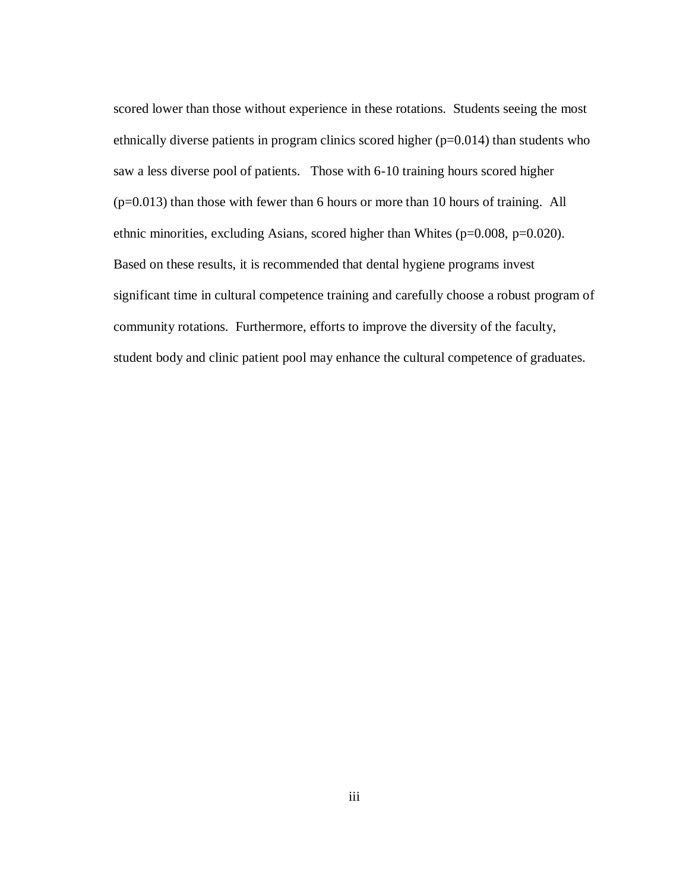scored lower than those without experience in these rotations. Students seeing the most ethnically diverse patients in program clinics scored higher  $(p=0.014)$  than students who saw a less diverse pool of patients. Those with 6-10 training hours scored higher (p=0.013) than those with fewer than 6 hours or more than 10 hours of training. All ethnic minorities, excluding Asians, scored higher than Whites (p=0.008, p=0.020). Based on these results, it is recommended that dental hygiene programs invest significant time in cultural competence training and carefully choose a robust program of community rotations. Furthermore, efforts to improve the diversity of the faculty, student body and clinic patient pool may enhance the cultural competence of graduates.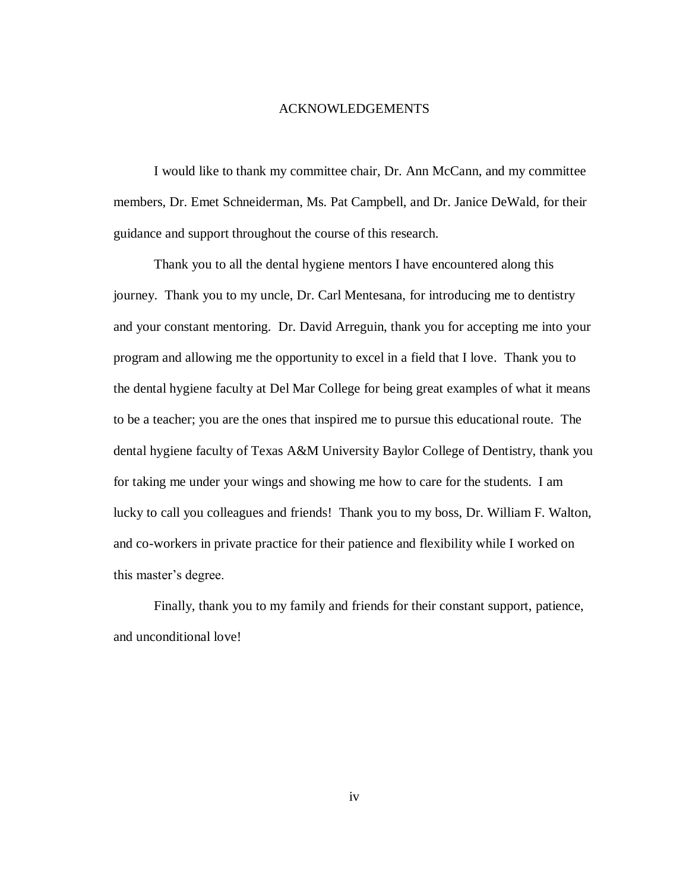#### ACKNOWLEDGEMENTS

I would like to thank my committee chair, Dr. Ann McCann, and my committee members, Dr. Emet Schneiderman, Ms. Pat Campbell, and Dr. Janice DeWald, for their guidance and support throughout the course of this research.

Thank you to all the dental hygiene mentors I have encountered along this journey. Thank you to my uncle, Dr. Carl Mentesana, for introducing me to dentistry and your constant mentoring. Dr. David Arreguin, thank you for accepting me into your program and allowing me the opportunity to excel in a field that I love. Thank you to the dental hygiene faculty at Del Mar College for being great examples of what it means to be a teacher; you are the ones that inspired me to pursue this educational route. The dental hygiene faculty of Texas A&M University Baylor College of Dentistry, thank you for taking me under your wings and showing me how to care for the students. I am lucky to call you colleagues and friends! Thank you to my boss, Dr. William F. Walton, and co-workers in private practice for their patience and flexibility while I worked on this master's degree.

Finally, thank you to my family and friends for their constant support, patience, and unconditional love!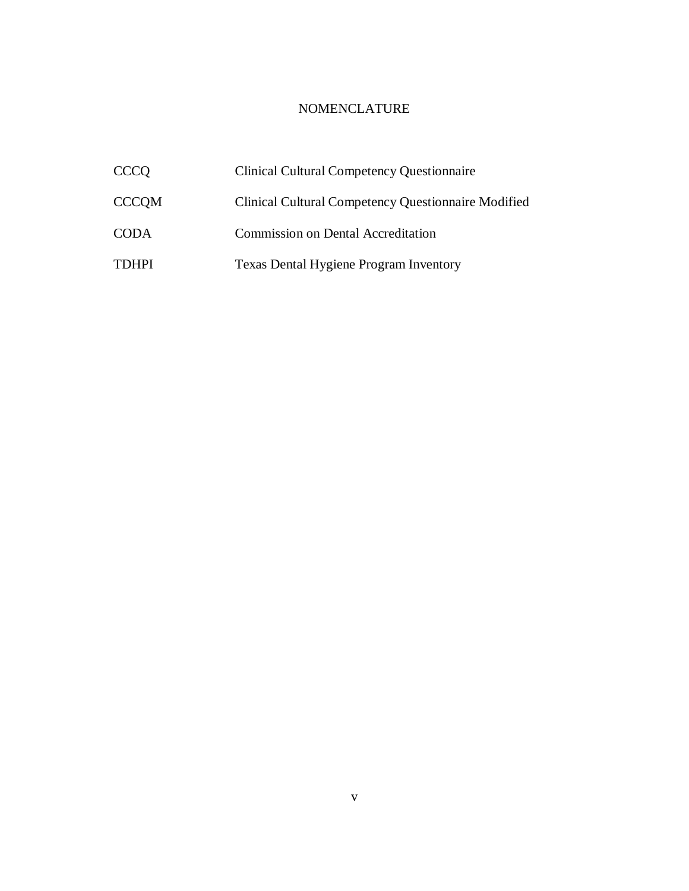# NOMENCLATURE

| <b>CCCO</b>  | <b>Clinical Cultural Competency Questionnaire</b>          |
|--------------|------------------------------------------------------------|
| <b>CCCQM</b> | <b>Clinical Cultural Competency Questionnaire Modified</b> |
| <b>CODA</b>  | <b>Commission on Dental Accreditation</b>                  |
| <b>TDHPI</b> | <b>Texas Dental Hygiene Program Inventory</b>              |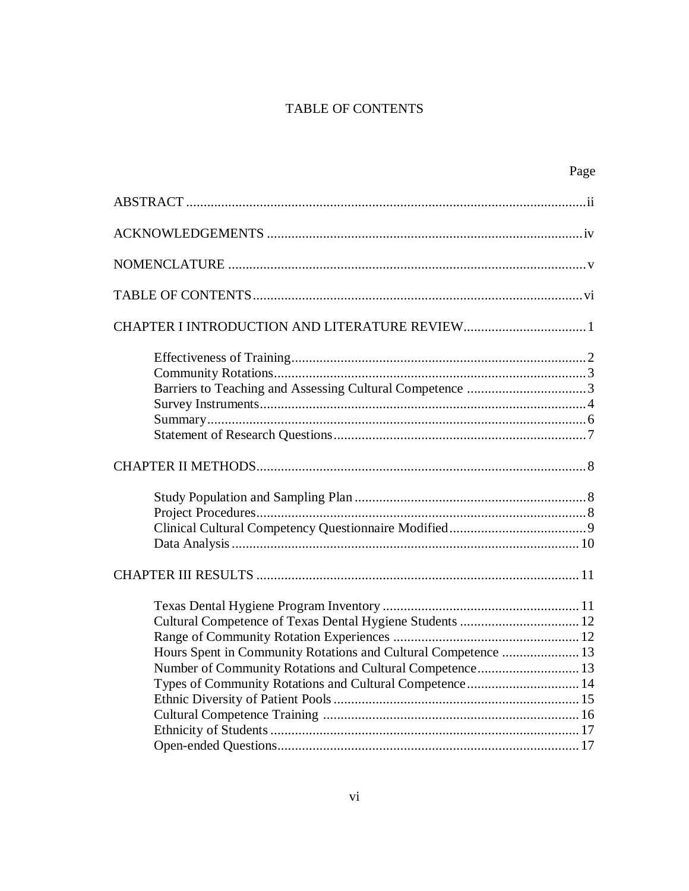# TABLE OF CONTENTS

|                                                                | Page |
|----------------------------------------------------------------|------|
|                                                                |      |
|                                                                |      |
|                                                                |      |
|                                                                |      |
|                                                                |      |
|                                                                |      |
|                                                                |      |
|                                                                |      |
|                                                                |      |
|                                                                |      |
|                                                                |      |
|                                                                |      |
|                                                                |      |
|                                                                |      |
|                                                                |      |
|                                                                |      |
|                                                                |      |
|                                                                |      |
| Cultural Competence of Texas Dental Hygiene Students  12       |      |
|                                                                |      |
| Hours Spent in Community Rotations and Cultural Competence  13 |      |
| Number of Community Rotations and Cultural Competence 13       |      |
| Types of Community Rotations and Cultural Competence 14        |      |
|                                                                |      |
|                                                                |      |
|                                                                |      |
|                                                                |      |
|                                                                |      |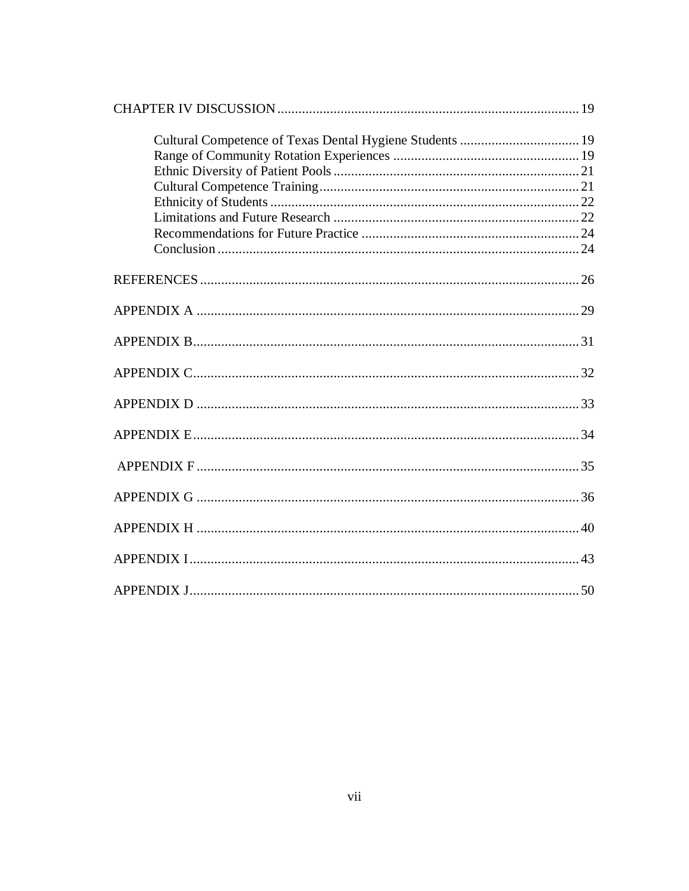| Cultural Competence of Texas Dental Hygiene Students  19 |  |
|----------------------------------------------------------|--|
|                                                          |  |
|                                                          |  |
|                                                          |  |
|                                                          |  |
|                                                          |  |
|                                                          |  |
|                                                          |  |
|                                                          |  |
|                                                          |  |
|                                                          |  |
|                                                          |  |
|                                                          |  |
|                                                          |  |
|                                                          |  |
|                                                          |  |
|                                                          |  |
|                                                          |  |
|                                                          |  |
|                                                          |  |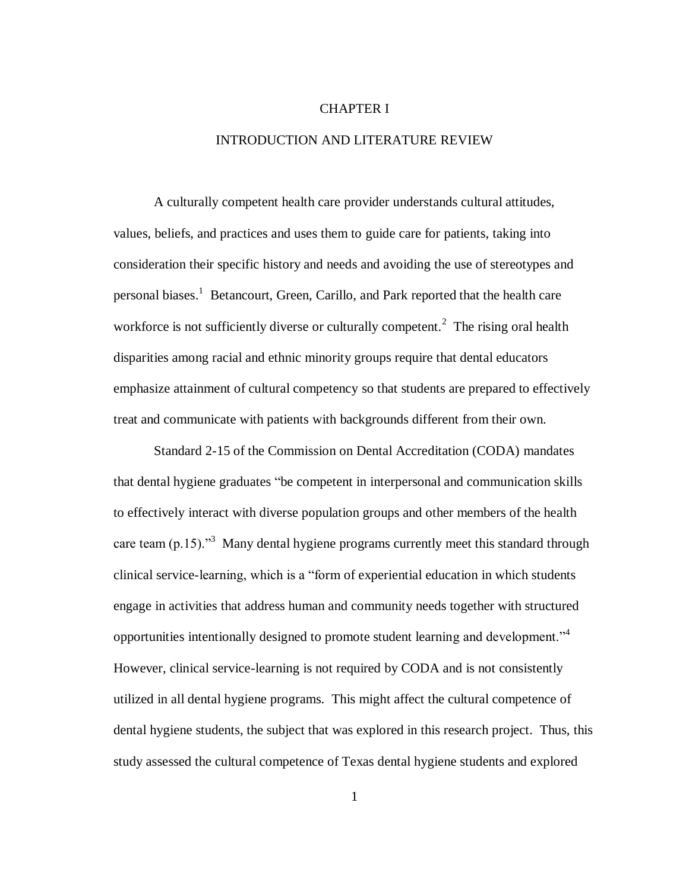#### CHAPTER I

#### INTRODUCTION AND LITERATURE REVIEW

A culturally competent health care provider understands cultural attitudes, values, beliefs, and practices and uses them to guide care for patients, taking into consideration their specific history and needs and avoiding the use of stereotypes and personal biases. 1 Betancourt, Green, Carillo, and Park reported that the health care workforce is not sufficiently diverse or culturally competent.<sup>2</sup> The rising oral health disparities among racial and ethnic minority groups require that dental educators emphasize attainment of cultural competency so that students are prepared to effectively treat and communicate with patients with backgrounds different from their own.

Standard 2-15 of the Commission on Dental Accreditation (CODA) mandates that dental hygiene graduates "be competent in interpersonal and communication skills to effectively interact with diverse population groups and other members of the health care team  $(p.15)$ ."<sup>3</sup> Many dental hygiene programs currently meet this standard through clinical service-learning, which is a "form of experiential education in which students engage in activities that address human and community needs together with structured opportunities intentionally designed to promote student learning and development."<sup>4</sup> However, clinical service-learning is not required by CODA and is not consistently utilized in all dental hygiene programs. This might affect the cultural competence of dental hygiene students, the subject that was explored in this research project. Thus, this study assessed the cultural competence of Texas dental hygiene students and explored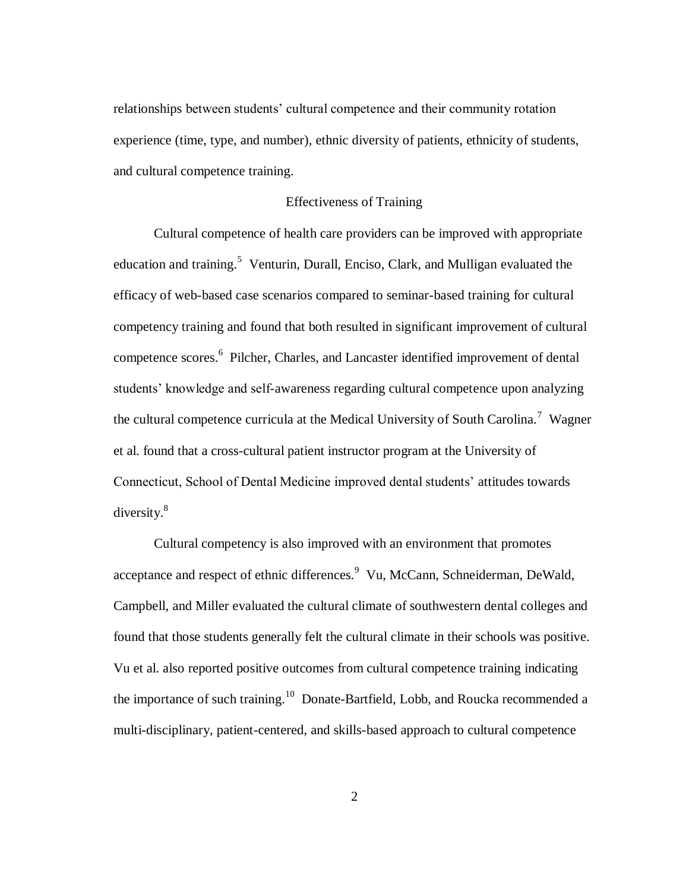relationships between students' cultural competence and their community rotation experience (time, type, and number), ethnic diversity of patients, ethnicity of students, and cultural competence training.

#### Effectiveness of Training

Cultural competence of health care providers can be improved with appropriate education and training.<sup>5</sup> Venturin, Durall, Enciso, Clark, and Mulligan evaluated the efficacy of web-based case scenarios compared to seminar-based training for cultural competency training and found that both resulted in significant improvement of cultural competence scores.<sup>6</sup> Pilcher, Charles, and Lancaster identified improvement of dental students' knowledge and self-awareness regarding cultural competence upon analyzing the cultural competence curricula at the Medical University of South Carolina.<sup>7</sup> Wagner et al. found that a cross-cultural patient instructor program at the University of Connecticut, School of Dental Medicine improved dental students' attitudes towards diversity.<sup>8</sup>

Cultural competency is also improved with an environment that promotes acceptance and respect of ethnic differences.<sup>9</sup> Vu, McCann, Schneiderman, DeWald, Campbell, and Miller evaluated the cultural climate of southwestern dental colleges and found that those students generally felt the cultural climate in their schools was positive. Vu et al. also reported positive outcomes from cultural competence training indicating the importance of such training.<sup>10</sup> Donate-Bartfield, Lobb, and Roucka recommended a multi-disciplinary, patient-centered, and skills-based approach to cultural competence

2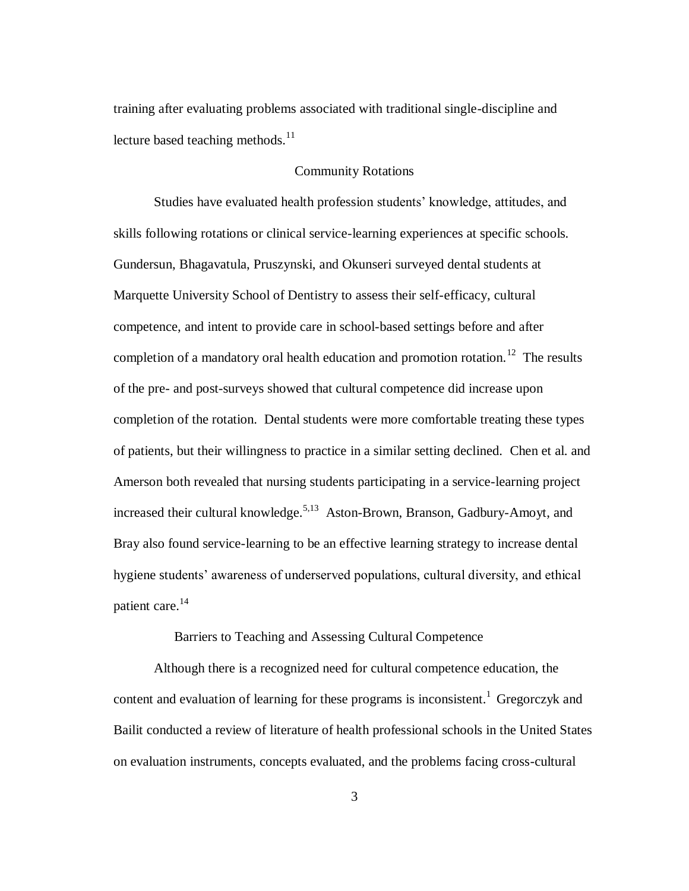training after evaluating problems associated with traditional single-discipline and lecture based teaching methods. $11$ 

#### Community Rotations

Studies have evaluated health profession students' knowledge, attitudes, and skills following rotations or clinical service-learning experiences at specific schools. Gundersun, Bhagavatula, Pruszynski, and Okunseri surveyed dental students at Marquette University School of Dentistry to assess their self-efficacy, cultural competence, and intent to provide care in school-based settings before and after completion of a mandatory oral health education and promotion rotation.<sup>12</sup> The results of the pre- and post-surveys showed that cultural competence did increase upon completion of the rotation. Dental students were more comfortable treating these types of patients, but their willingness to practice in a similar setting declined. Chen et al. and Amerson both revealed that nursing students participating in a service-learning project increased their cultural knowledge.<sup>5,13</sup> Aston-Brown, Branson, Gadbury-Amoyt, and Bray also found service-learning to be an effective learning strategy to increase dental hygiene students' awareness of underserved populations, cultural diversity, and ethical patient care.<sup>14</sup>

#### Barriers to Teaching and Assessing Cultural Competence

Although there is a recognized need for cultural competence education, the content and evaluation of learning for these programs is inconsistent.<sup>1</sup> Gregorczyk and Bailit conducted a review of literature of health professional schools in the United States on evaluation instruments, concepts evaluated, and the problems facing cross-cultural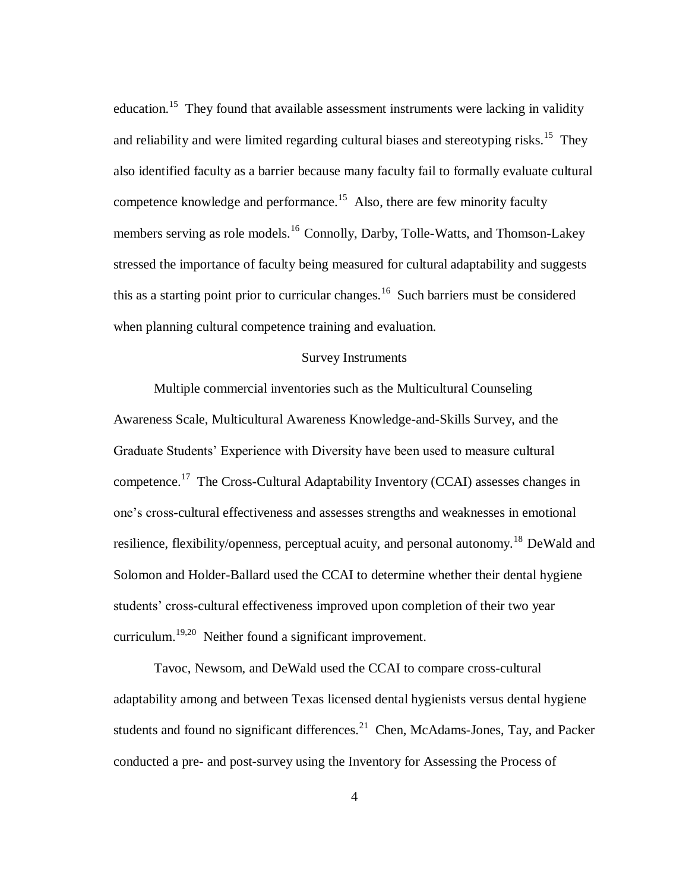education.<sup>15</sup> They found that available assessment instruments were lacking in validity and reliability and were limited regarding cultural biases and stereotyping risks.<sup>15</sup> They also identified faculty as a barrier because many faculty fail to formally evaluate cultural competence knowledge and performance.<sup>15</sup> Also, there are few minority faculty members serving as role models.<sup>16</sup> Connolly, Darby, Tolle-Watts, and Thomson-Lakey stressed the importance of faculty being measured for cultural adaptability and suggests this as a starting point prior to curricular changes.<sup>16</sup> Such barriers must be considered when planning cultural competence training and evaluation.

#### Survey Instruments

Multiple commercial inventories such as the Multicultural Counseling Awareness Scale, Multicultural Awareness Knowledge-and-Skills Survey, and the Graduate Students' Experience with Diversity have been used to measure cultural competence.<sup>17</sup> The Cross-Cultural Adaptability Inventory (CCAI) assesses changes in one's cross-cultural effectiveness and assesses strengths and weaknesses in emotional resilience, flexibility/openness, perceptual acuity, and personal autonomy.<sup>18</sup> DeWald and Solomon and Holder-Ballard used the CCAI to determine whether their dental hygiene students' cross-cultural effectiveness improved upon completion of their two year curriculum.<sup>19,20</sup> Neither found a significant improvement.

Tavoc, Newsom, and DeWald used the CCAI to compare cross-cultural adaptability among and between Texas licensed dental hygienists versus dental hygiene students and found no significant differences. $21$  Chen, McAdams-Jones, Tay, and Packer conducted a pre- and post-survey using the Inventory for Assessing the Process of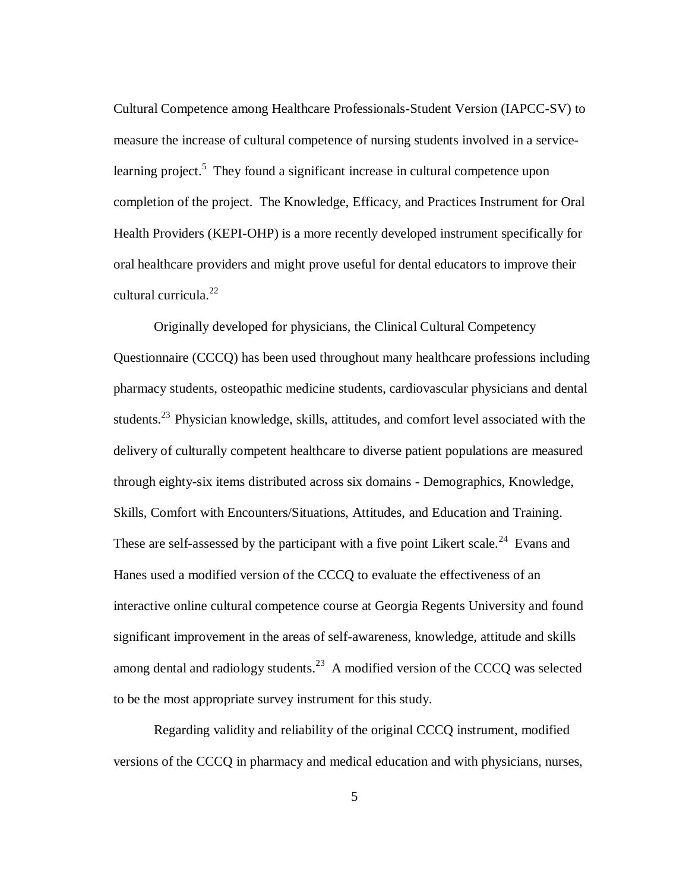Cultural Competence among Healthcare Professionals-Student Version (IAPCC-SV) to measure the increase of cultural competence of nursing students involved in a servicelearning project.<sup>5</sup> They found a significant increase in cultural competence upon completion of the project. The Knowledge, Efficacy, and Practices Instrument for Oral Health Providers (KEPI-OHP) is a more recently developed instrument specifically for oral healthcare providers and might prove useful for dental educators to improve their cultural curricula.<sup>22</sup>

Originally developed for physicians, the Clinical Cultural Competency Questionnaire (CCCQ) has been used throughout many healthcare professions including pharmacy students, osteopathic medicine students, cardiovascular physicians and dental students.<sup>23</sup> Physician knowledge, skills, attitudes, and comfort level associated with the delivery of culturally competent healthcare to diverse patient populations are measured through eighty-six items distributed across six domains - Demographics, Knowledge, Skills, Comfort with Encounters/Situations, Attitudes, and Education and Training. These are self-assessed by the participant with a five point Likert scale.<sup>24</sup> Evans and Hanes used a modified version of the CCCQ to evaluate the effectiveness of an interactive online cultural competence course at Georgia Regents University and found significant improvement in the areas of self-awareness, knowledge, attitude and skills among dental and radiology students. $2<sup>3</sup>$  A modified version of the CCCQ was selected to be the most appropriate survey instrument for this study.

Regarding validity and reliability of the original CCCQ instrument, modified versions of the CCCQ in pharmacy and medical education and with physicians, nurses,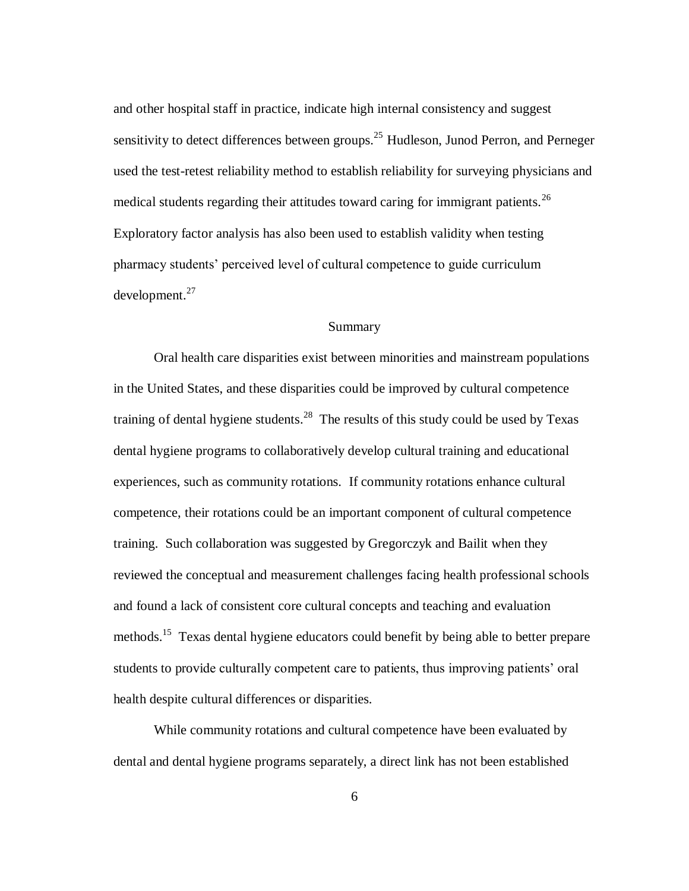and other hospital staff in practice, indicate high internal consistency and suggest sensitivity to detect differences between groups.<sup>25</sup> Hudleson, Junod Perron, and Perneger used the test-retest reliability method to establish reliability for surveying physicians and medical students regarding their attitudes toward caring for immigrant patients.<sup>26</sup> Exploratory factor analysis has also been used to establish validity when testing pharmacy students' perceived level of cultural competence to guide curriculum development.<sup>27</sup>

#### Summary

Oral health care disparities exist between minorities and mainstream populations in the United States, and these disparities could be improved by cultural competence training of dental hygiene students.<sup>28</sup> The results of this study could be used by Texas dental hygiene programs to collaboratively develop cultural training and educational experiences, such as community rotations. If community rotations enhance cultural competence, their rotations could be an important component of cultural competence training. Such collaboration was suggested by Gregorczyk and Bailit when they reviewed the conceptual and measurement challenges facing health professional schools and found a lack of consistent core cultural concepts and teaching and evaluation methods.<sup>15</sup> Texas dental hygiene educators could benefit by being able to better prepare students to provide culturally competent care to patients, thus improving patients' oral health despite cultural differences or disparities.

While community rotations and cultural competence have been evaluated by dental and dental hygiene programs separately, a direct link has not been established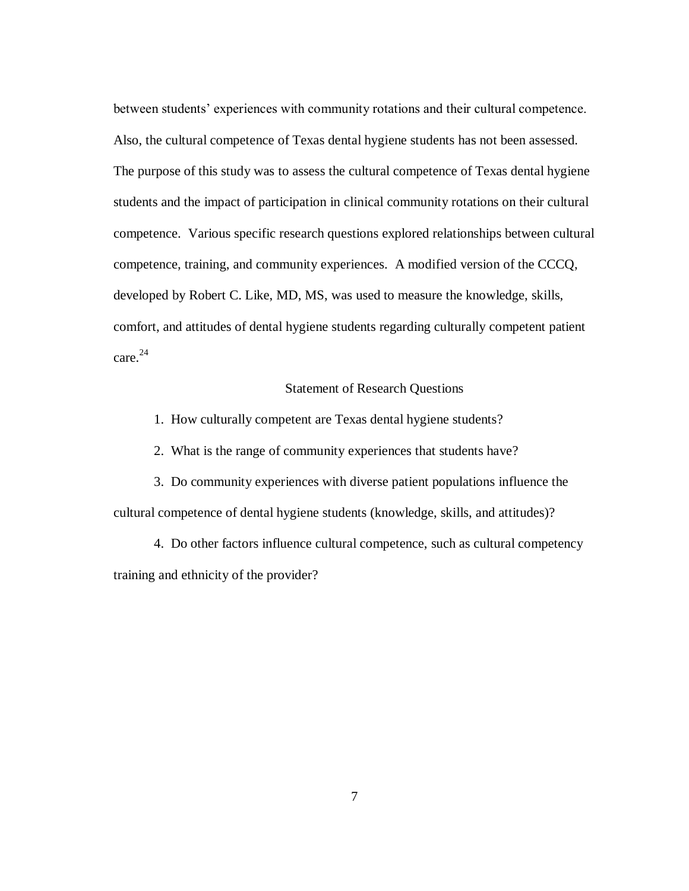between students' experiences with community rotations and their cultural competence. Also, the cultural competence of Texas dental hygiene students has not been assessed. The purpose of this study was to assess the cultural competence of Texas dental hygiene students and the impact of participation in clinical community rotations on their cultural competence. Various specific research questions explored relationships between cultural competence, training, and community experiences. A modified version of the CCCQ, developed by Robert C. Like, MD, MS, was used to measure the knowledge, skills, comfort, and attitudes of dental hygiene students regarding culturally competent patient care. 24

#### Statement of Research Questions

1. How culturally competent are Texas dental hygiene students?

2. What is the range of community experiences that students have?

3. Do community experiences with diverse patient populations influence the cultural competence of dental hygiene students (knowledge, skills, and attitudes)?

4. Do other factors influence cultural competence, such as cultural competency training and ethnicity of the provider?

7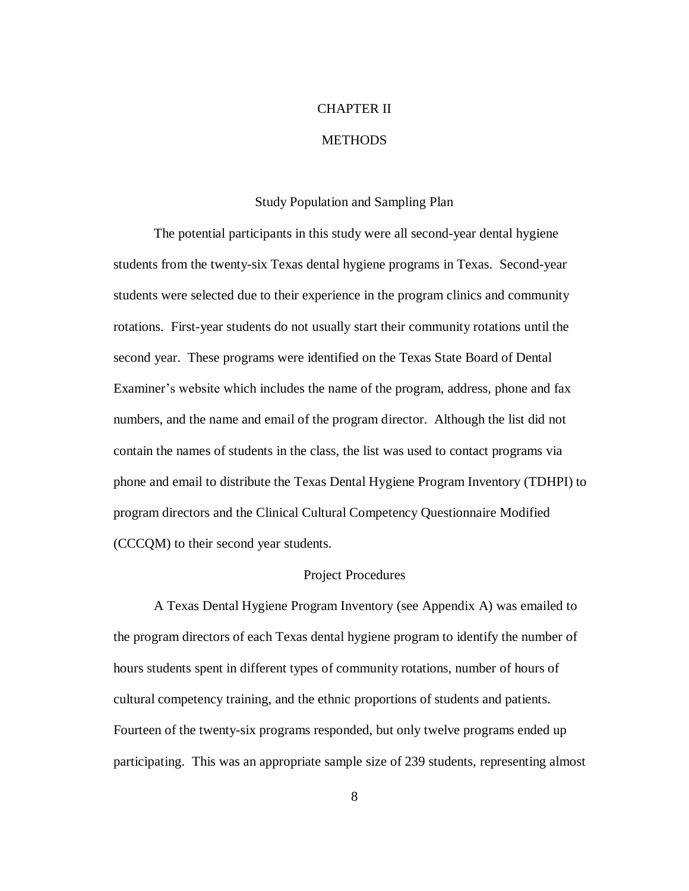# CHAPTER II

#### **METHODS**

#### Study Population and Sampling Plan

The potential participants in this study were all second-year dental hygiene students from the twenty-six Texas dental hygiene programs in Texas. Second-year students were selected due to their experience in the program clinics and community rotations. First-year students do not usually start their community rotations until the second year. These programs were identified on the Texas State Board of Dental Examiner's website which includes the name of the program, address, phone and fax numbers, and the name and email of the program director. Although the list did not contain the names of students in the class, the list was used to contact programs via phone and email to distribute the Texas Dental Hygiene Program Inventory (TDHPI) to program directors and the Clinical Cultural Competency Questionnaire Modified (CCCQM) to their second year students.

#### Project Procedures

A Texas Dental Hygiene Program Inventory (see Appendix A) was emailed to the program directors of each Texas dental hygiene program to identify the number of hours students spent in different types of community rotations, number of hours of cultural competency training, and the ethnic proportions of students and patients. Fourteen of the twenty-six programs responded, but only twelve programs ended up participating. This was an appropriate sample size of 239 students, representing almost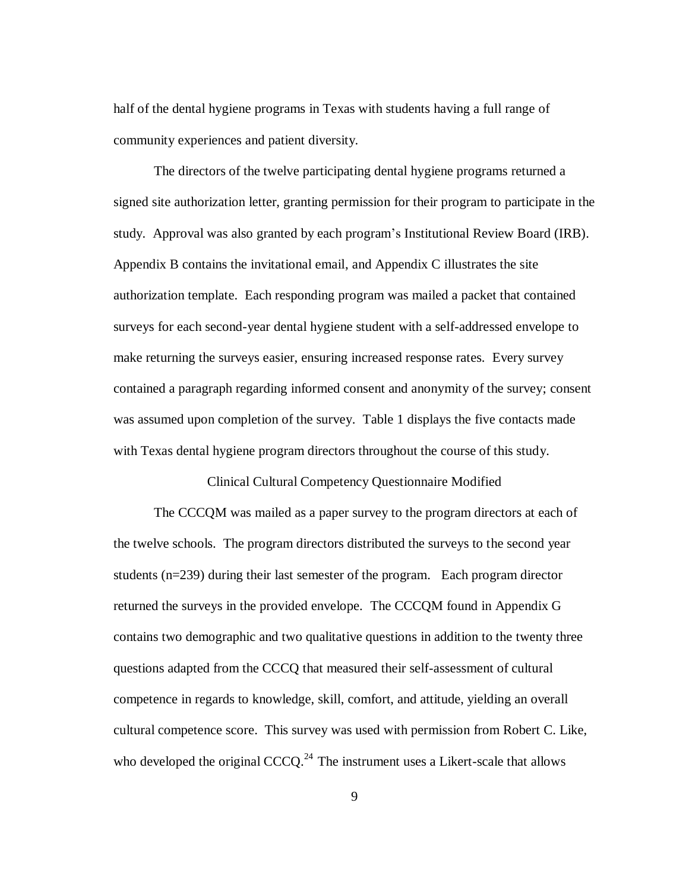half of the dental hygiene programs in Texas with students having a full range of community experiences and patient diversity.

The directors of the twelve participating dental hygiene programs returned a signed site authorization letter, granting permission for their program to participate in the study. Approval was also granted by each program's Institutional Review Board (IRB). Appendix B contains the invitational email, and Appendix C illustrates the site authorization template. Each responding program was mailed a packet that contained surveys for each second-year dental hygiene student with a self-addressed envelope to make returning the surveys easier, ensuring increased response rates. Every survey contained a paragraph regarding informed consent and anonymity of the survey; consent was assumed upon completion of the survey. Table 1 displays the five contacts made with Texas dental hygiene program directors throughout the course of this study.

#### Clinical Cultural Competency Questionnaire Modified

The CCCQM was mailed as a paper survey to the program directors at each of the twelve schools. The program directors distributed the surveys to the second year students (n=239) during their last semester of the program. Each program director returned the surveys in the provided envelope. The CCCQM found in Appendix G contains two demographic and two qualitative questions in addition to the twenty three questions adapted from the CCCQ that measured their self-assessment of cultural competence in regards to knowledge, skill, comfort, and attitude, yielding an overall cultural competence score. This survey was used with permission from Robert C. Like, who developed the original  $CCCQ$ <sup>24</sup>. The instrument uses a Likert-scale that allows

9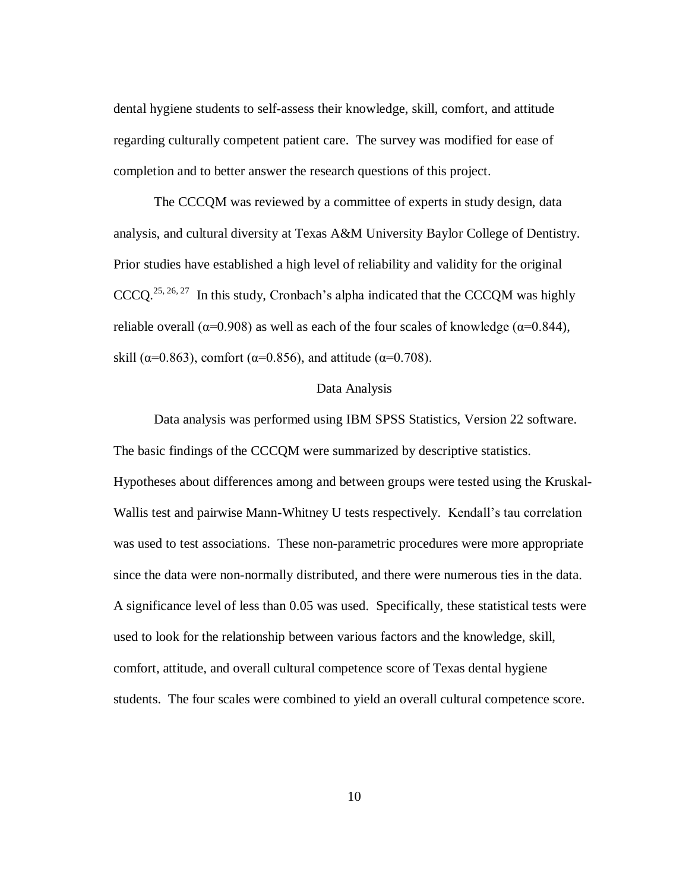dental hygiene students to self-assess their knowledge, skill, comfort, and attitude regarding culturally competent patient care. The survey was modified for ease of completion and to better answer the research questions of this project.

The CCCQM was reviewed by a committee of experts in study design, data analysis, and cultural diversity at Texas A&M University Baylor College of Dentistry. Prior studies have established a high level of reliability and validity for the original  $CCCQ$ <sup>25, 26, 27</sup> In this study, Cronbach's alpha indicated that the CCCQM was highly reliable overall ( $\alpha$ =0.908) as well as each of the four scales of knowledge ( $\alpha$ =0.844), skill ( $\alpha$ =0.863), comfort ( $\alpha$ =0.856), and attitude ( $\alpha$ =0.708).

#### Data Analysis

Data analysis was performed using IBM SPSS Statistics, Version 22 software. The basic findings of the CCCQM were summarized by descriptive statistics. Hypotheses about differences among and between groups were tested using the Kruskal-Wallis test and pairwise Mann-Whitney U tests respectively. Kendall's tau correlation was used to test associations. These non-parametric procedures were more appropriate since the data were non-normally distributed, and there were numerous ties in the data. A significance level of less than 0.05 was used. Specifically, these statistical tests were used to look for the relationship between various factors and the knowledge, skill, comfort, attitude, and overall cultural competence score of Texas dental hygiene students. The four scales were combined to yield an overall cultural competence score.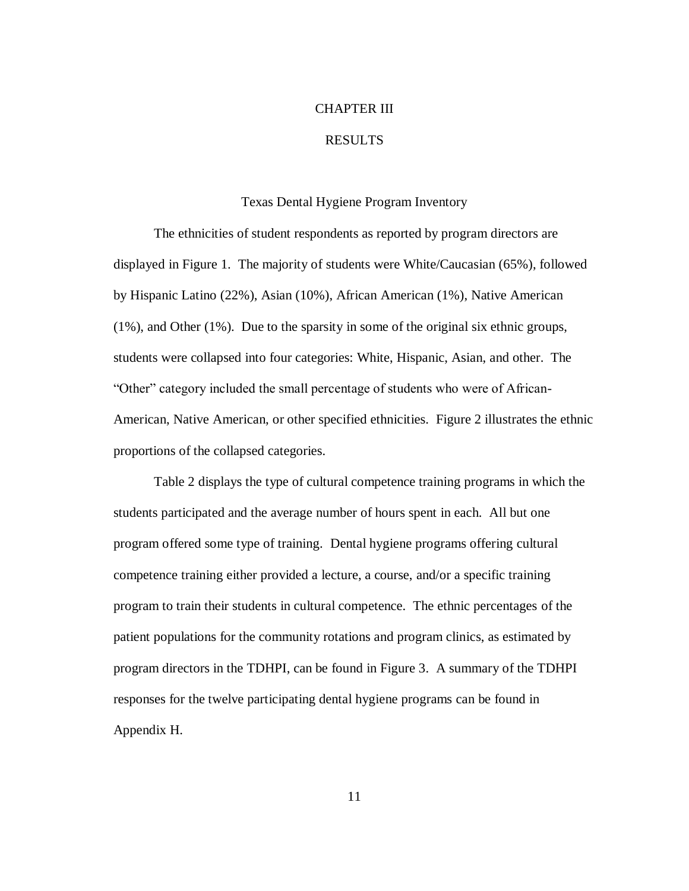#### CHAPTER III

#### RESULTS

#### Texas Dental Hygiene Program Inventory

The ethnicities of student respondents as reported by program directors are displayed in Figure 1. The majority of students were White/Caucasian (65%), followed by Hispanic Latino (22%), Asian (10%), African American (1%), Native American (1%), and Other (1%). Due to the sparsity in some of the original six ethnic groups, students were collapsed into four categories: White, Hispanic, Asian, and other. The "Other" category included the small percentage of students who were of African-American, Native American, or other specified ethnicities. Figure 2 illustrates the ethnic proportions of the collapsed categories.

Table 2 displays the type of cultural competence training programs in which the students participated and the average number of hours spent in each. All but one program offered some type of training. Dental hygiene programs offering cultural competence training either provided a lecture, a course, and/or a specific training program to train their students in cultural competence. The ethnic percentages of the patient populations for the community rotations and program clinics, as estimated by program directors in the TDHPI, can be found in Figure 3. A summary of the TDHPI responses for the twelve participating dental hygiene programs can be found in Appendix H.

11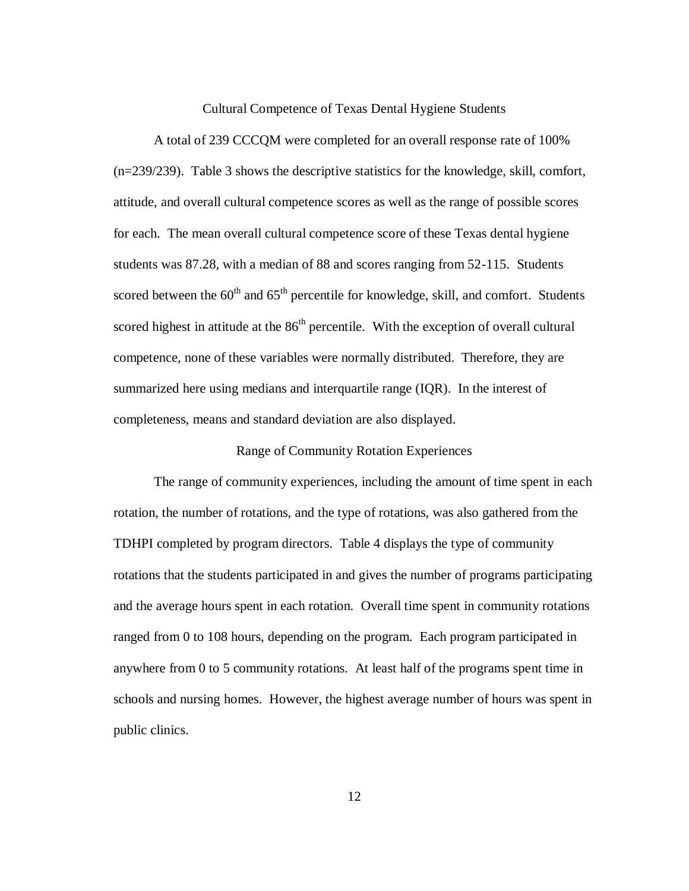Cultural Competence of Texas Dental Hygiene Students

A total of 239 CCCQM were completed for an overall response rate of 100% (n=239/239). Table 3 shows the descriptive statistics for the knowledge, skill, comfort, attitude, and overall cultural competence scores as well as the range of possible scores for each. The mean overall cultural competence score of these Texas dental hygiene students was 87.28, with a median of 88 and scores ranging from 52-115. Students scored between the  $60<sup>th</sup>$  and  $65<sup>th</sup>$  percentile for knowledge, skill, and comfort. Students scored highest in attitude at the  $86<sup>th</sup>$  percentile. With the exception of overall cultural competence, none of these variables were normally distributed. Therefore, they are summarized here using medians and interquartile range (IQR). In the interest of completeness, means and standard deviation are also displayed.

#### Range of Community Rotation Experiences

The range of community experiences, including the amount of time spent in each rotation, the number of rotations, and the type of rotations, was also gathered from the TDHPI completed by program directors. Table 4 displays the type of community rotations that the students participated in and gives the number of programs participating and the average hours spent in each rotation. Overall time spent in community rotations ranged from 0 to 108 hours, depending on the program. Each program participated in anywhere from 0 to 5 community rotations. At least half of the programs spent time in schools and nursing homes. However, the highest average number of hours was spent in public clinics.

12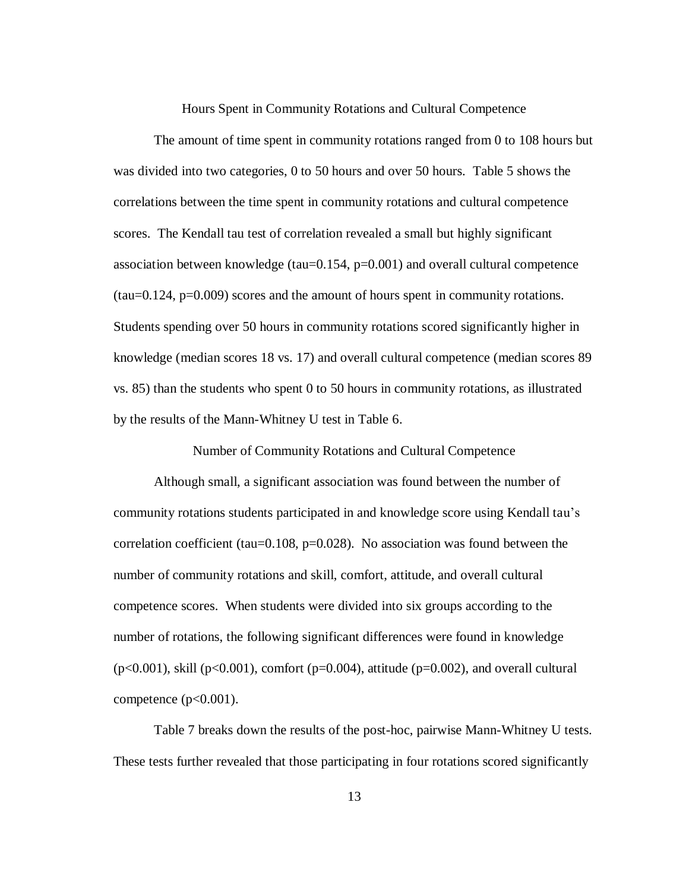Hours Spent in Community Rotations and Cultural Competence

The amount of time spent in community rotations ranged from 0 to 108 hours but was divided into two categories, 0 to 50 hours and over 50 hours. Table 5 shows the correlations between the time spent in community rotations and cultural competence scores. The Kendall tau test of correlation revealed a small but highly significant association between knowledge (tau=0.154, p=0.001) and overall cultural competence  $(tau=0.124, p=0.009)$  scores and the amount of hours spent in community rotations. Students spending over 50 hours in community rotations scored significantly higher in knowledge (median scores 18 vs. 17) and overall cultural competence (median scores 89 vs. 85) than the students who spent 0 to 50 hours in community rotations, as illustrated by the results of the Mann-Whitney U test in Table 6.

Number of Community Rotations and Cultural Competence

Although small, a significant association was found between the number of community rotations students participated in and knowledge score using Kendall tau's correlation coefficient (tau= $0.108$ , p= $0.028$ ). No association was found between the number of community rotations and skill, comfort, attitude, and overall cultural competence scores. When students were divided into six groups according to the number of rotations, the following significant differences were found in knowledge ( $p<0.001$ ), skill ( $p<0.001$ ), comfort ( $p=0.004$ ), attitude ( $p=0.002$ ), and overall cultural competence  $(p<0.001)$ .

Table 7 breaks down the results of the post-hoc, pairwise Mann-Whitney U tests. These tests further revealed that those participating in four rotations scored significantly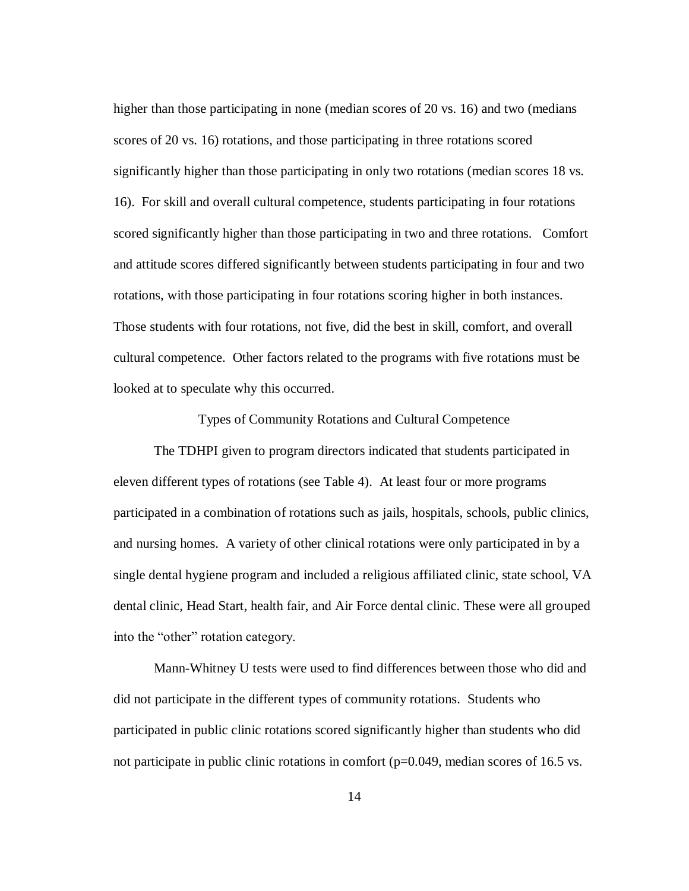higher than those participating in none (median scores of 20 vs. 16) and two (medians scores of 20 vs. 16) rotations, and those participating in three rotations scored significantly higher than those participating in only two rotations (median scores 18 vs. 16). For skill and overall cultural competence, students participating in four rotations scored significantly higher than those participating in two and three rotations. Comfort and attitude scores differed significantly between students participating in four and two rotations, with those participating in four rotations scoring higher in both instances. Those students with four rotations, not five, did the best in skill, comfort, and overall cultural competence. Other factors related to the programs with five rotations must be looked at to speculate why this occurred.

Types of Community Rotations and Cultural Competence

The TDHPI given to program directors indicated that students participated in eleven different types of rotations (see Table 4). At least four or more programs participated in a combination of rotations such as jails, hospitals, schools, public clinics, and nursing homes. A variety of other clinical rotations were only participated in by a single dental hygiene program and included a religious affiliated clinic, state school, VA dental clinic, Head Start, health fair, and Air Force dental clinic. These were all grouped into the "other" rotation category.

Mann-Whitney U tests were used to find differences between those who did and did not participate in the different types of community rotations. Students who participated in public clinic rotations scored significantly higher than students who did not participate in public clinic rotations in comfort (p=0.049, median scores of 16.5 vs.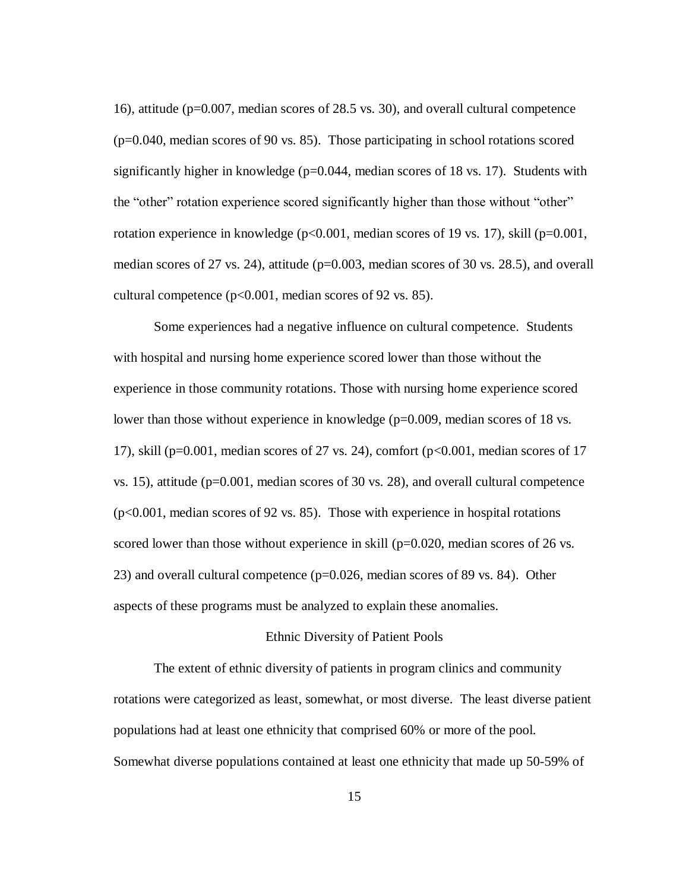16), attitude (p=0.007, median scores of 28.5 vs. 30), and overall cultural competence (p=0.040, median scores of 90 vs. 85). Those participating in school rotations scored significantly higher in knowledge ( $p=0.044$ , median scores of 18 vs. 17). Students with the "other" rotation experience scored significantly higher than those without "other" rotation experience in knowledge (p<0.001, median scores of 19 vs. 17), skill (p=0.001, median scores of 27 vs. 24), attitude ( $p=0.003$ , median scores of 30 vs. 28.5), and overall cultural competence (p<0.001, median scores of 92 vs. 85).

Some experiences had a negative influence on cultural competence. Students with hospital and nursing home experience scored lower than those without the experience in those community rotations. Those with nursing home experience scored lower than those without experience in knowledge (p=0.009, median scores of 18 vs. 17), skill ( $p=0.001$ , median scores of 27 vs. 24), comfort ( $p<0.001$ , median scores of 17 vs. 15), attitude (p=0.001, median scores of 30 vs. 28), and overall cultural competence (p<0.001, median scores of 92 vs. 85). Those with experience in hospital rotations scored lower than those without experience in skill ( $p=0.020$ , median scores of 26 vs. 23) and overall cultural competence (p=0.026, median scores of 89 vs. 84). Other aspects of these programs must be analyzed to explain these anomalies.

#### Ethnic Diversity of Patient Pools

The extent of ethnic diversity of patients in program clinics and community rotations were categorized as least, somewhat, or most diverse. The least diverse patient populations had at least one ethnicity that comprised 60% or more of the pool. Somewhat diverse populations contained at least one ethnicity that made up 50-59% of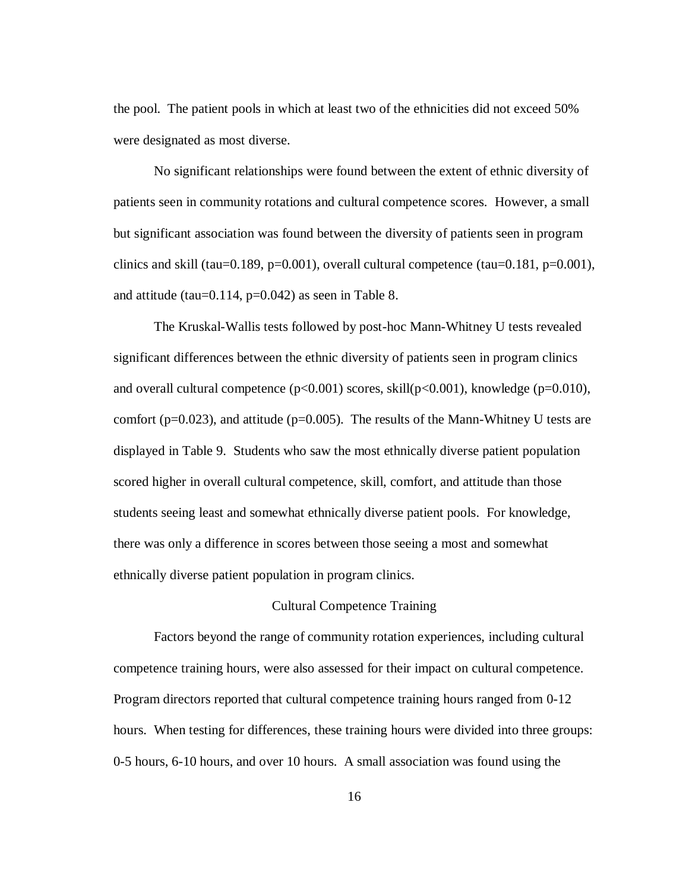the pool. The patient pools in which at least two of the ethnicities did not exceed 50% were designated as most diverse.

No significant relationships were found between the extent of ethnic diversity of patients seen in community rotations and cultural competence scores. However, a small but significant association was found between the diversity of patients seen in program clinics and skill (tau=0.189, p=0.001), overall cultural competence (tau=0.181, p=0.001), and attitude (tau= $0.114$ , p= $0.042$ ) as seen in Table 8.

The Kruskal-Wallis tests followed by post-hoc Mann-Whitney U tests revealed significant differences between the ethnic diversity of patients seen in program clinics and overall cultural competence ( $p<0.001$ ) scores, skill( $p<0.001$ ), knowledge ( $p=0.010$ ), comfort ( $p=0.023$ ), and attitude ( $p=0.005$ ). The results of the Mann-Whitney U tests are displayed in Table 9. Students who saw the most ethnically diverse patient population scored higher in overall cultural competence, skill, comfort, and attitude than those students seeing least and somewhat ethnically diverse patient pools. For knowledge, there was only a difference in scores between those seeing a most and somewhat ethnically diverse patient population in program clinics.

#### Cultural Competence Training

Factors beyond the range of community rotation experiences, including cultural competence training hours, were also assessed for their impact on cultural competence. Program directors reported that cultural competence training hours ranged from 0-12 hours. When testing for differences, these training hours were divided into three groups: 0-5 hours, 6-10 hours, and over 10 hours. A small association was found using the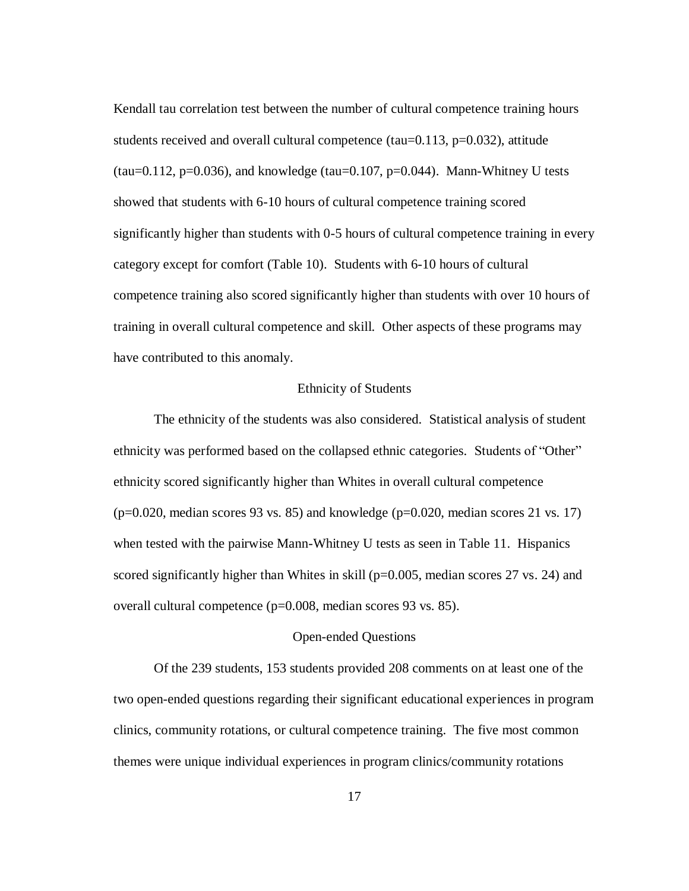Kendall tau correlation test between the number of cultural competence training hours students received and overall cultural competence (tau= $0.113$ , p= $0.032$ ), attitude  $(tau=0.112, p=0.036)$ , and knowledge  $(tau=0.107, p=0.044)$ . Mann-Whitney U tests showed that students with 6-10 hours of cultural competence training scored significantly higher than students with 0-5 hours of cultural competence training in every category except for comfort (Table 10). Students with 6-10 hours of cultural competence training also scored significantly higher than students with over 10 hours of training in overall cultural competence and skill. Other aspects of these programs may have contributed to this anomaly.

#### Ethnicity of Students

The ethnicity of the students was also considered. Statistical analysis of student ethnicity was performed based on the collapsed ethnic categories. Students of "Other" ethnicity scored significantly higher than Whites in overall cultural competence  $(p=0.020, \text{ median scores } 93 \text{ vs. } 85)$  and knowledge  $(p=0.020, \text{median scores } 21 \text{ vs. } 17)$ when tested with the pairwise Mann-Whitney U tests as seen in Table 11. Hispanics scored significantly higher than Whites in skill (p=0.005, median scores 27 vs. 24) and overall cultural competence (p=0.008, median scores 93 vs. 85).

#### Open-ended Questions

Of the 239 students, 153 students provided 208 comments on at least one of the two open-ended questions regarding their significant educational experiences in program clinics, community rotations, or cultural competence training. The five most common themes were unique individual experiences in program clinics/community rotations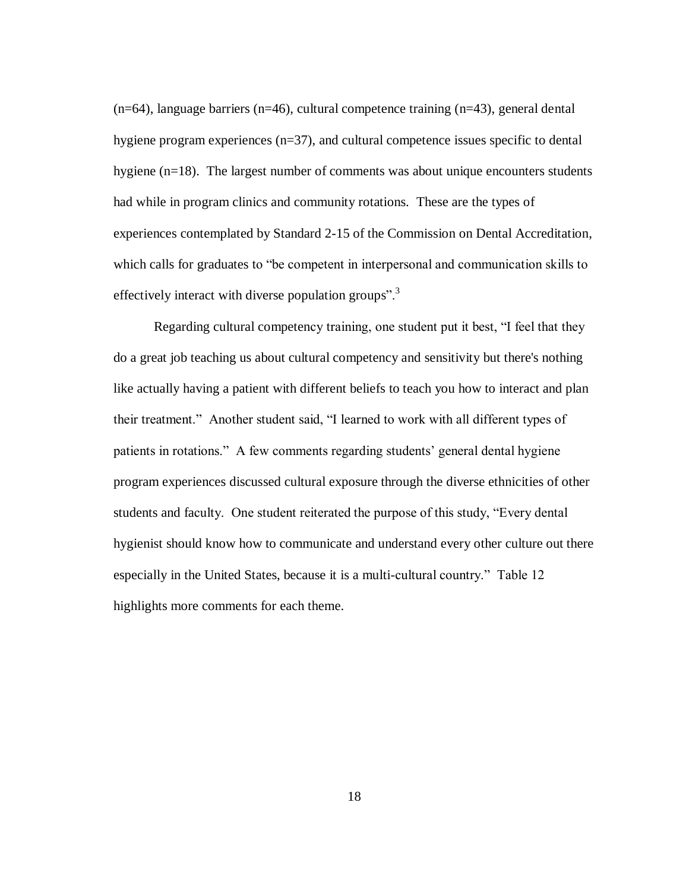$(n=64)$ , language barriers  $(n=46)$ , cultural competence training  $(n=43)$ , general dental hygiene program experiences (n=37), and cultural competence issues specific to dental hygiene (n=18). The largest number of comments was about unique encounters students had while in program clinics and community rotations. These are the types of experiences contemplated by Standard 2-15 of the Commission on Dental Accreditation, which calls for graduates to "be competent in interpersonal and communication skills to effectively interact with diverse population groups".<sup>3</sup>

Regarding cultural competency training, one student put it best, "I feel that they do a great job teaching us about cultural competency and sensitivity but there's nothing like actually having a patient with different beliefs to teach you how to interact and plan their treatment." Another student said, "I learned to work with all different types of patients in rotations." A few comments regarding students' general dental hygiene program experiences discussed cultural exposure through the diverse ethnicities of other students and faculty. One student reiterated the purpose of this study, "Every dental hygienist should know how to communicate and understand every other culture out there especially in the United States, because it is a multi-cultural country." Table 12 highlights more comments for each theme.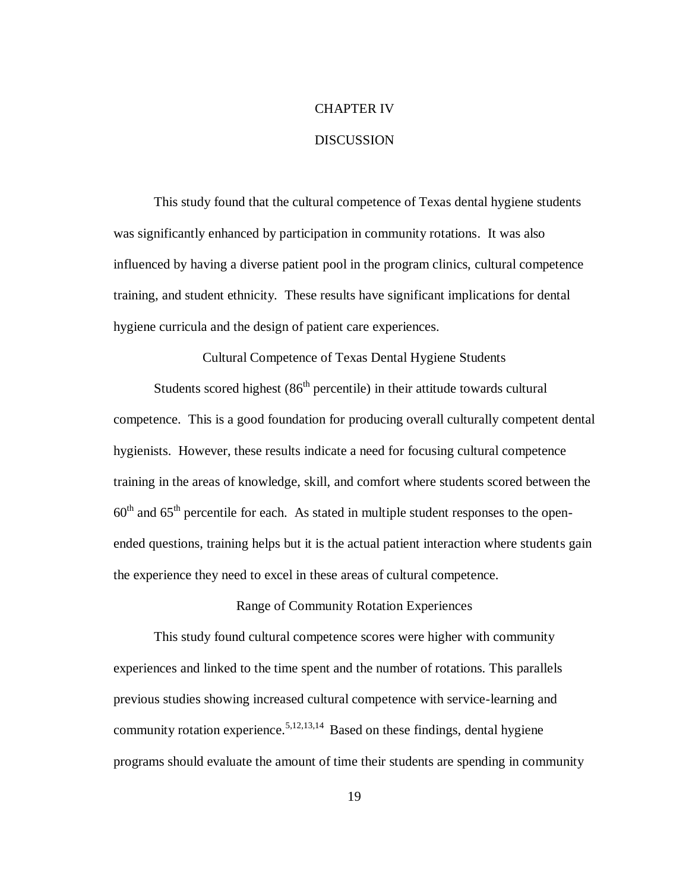# CHAPTER IV

#### DISCUSSION

This study found that the cultural competence of Texas dental hygiene students was significantly enhanced by participation in community rotations. It was also influenced by having a diverse patient pool in the program clinics, cultural competence training, and student ethnicity. These results have significant implications for dental hygiene curricula and the design of patient care experiences.

Cultural Competence of Texas Dental Hygiene Students

Students scored highest  $(86<sup>th</sup>$  percentile) in their attitude towards cultural competence. This is a good foundation for producing overall culturally competent dental hygienists. However, these results indicate a need for focusing cultural competence training in the areas of knowledge, skill, and comfort where students scored between the  $60<sup>th</sup>$  and  $65<sup>th</sup>$  percentile for each. As stated in multiple student responses to the openended questions, training helps but it is the actual patient interaction where students gain the experience they need to excel in these areas of cultural competence.

#### Range of Community Rotation Experiences

This study found cultural competence scores were higher with community experiences and linked to the time spent and the number of rotations. This parallels previous studies showing increased cultural competence with service-learning and community rotation experience.<sup>5,12,13,14</sup> Based on these findings, dental hygiene programs should evaluate the amount of time their students are spending in community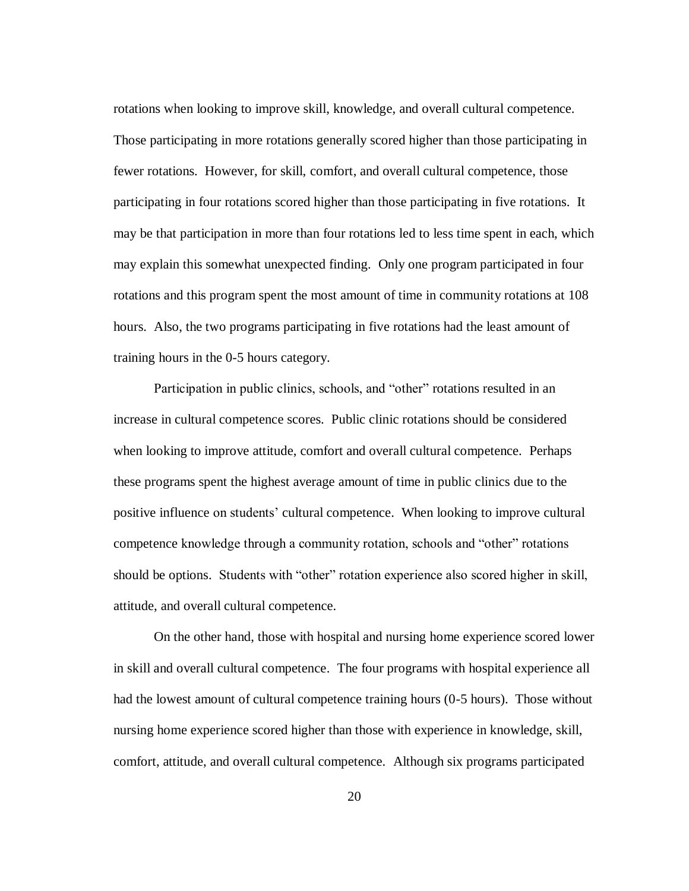rotations when looking to improve skill, knowledge, and overall cultural competence. Those participating in more rotations generally scored higher than those participating in fewer rotations. However, for skill, comfort, and overall cultural competence, those participating in four rotations scored higher than those participating in five rotations. It may be that participation in more than four rotations led to less time spent in each, which may explain this somewhat unexpected finding. Only one program participated in four rotations and this program spent the most amount of time in community rotations at 108 hours. Also, the two programs participating in five rotations had the least amount of training hours in the 0-5 hours category.

Participation in public clinics, schools, and "other" rotations resulted in an increase in cultural competence scores. Public clinic rotations should be considered when looking to improve attitude, comfort and overall cultural competence. Perhaps these programs spent the highest average amount of time in public clinics due to the positive influence on students' cultural competence. When looking to improve cultural competence knowledge through a community rotation, schools and "other" rotations should be options. Students with "other" rotation experience also scored higher in skill, attitude, and overall cultural competence.

On the other hand, those with hospital and nursing home experience scored lower in skill and overall cultural competence. The four programs with hospital experience all had the lowest amount of cultural competence training hours (0-5 hours). Those without nursing home experience scored higher than those with experience in knowledge, skill, comfort, attitude, and overall cultural competence. Although six programs participated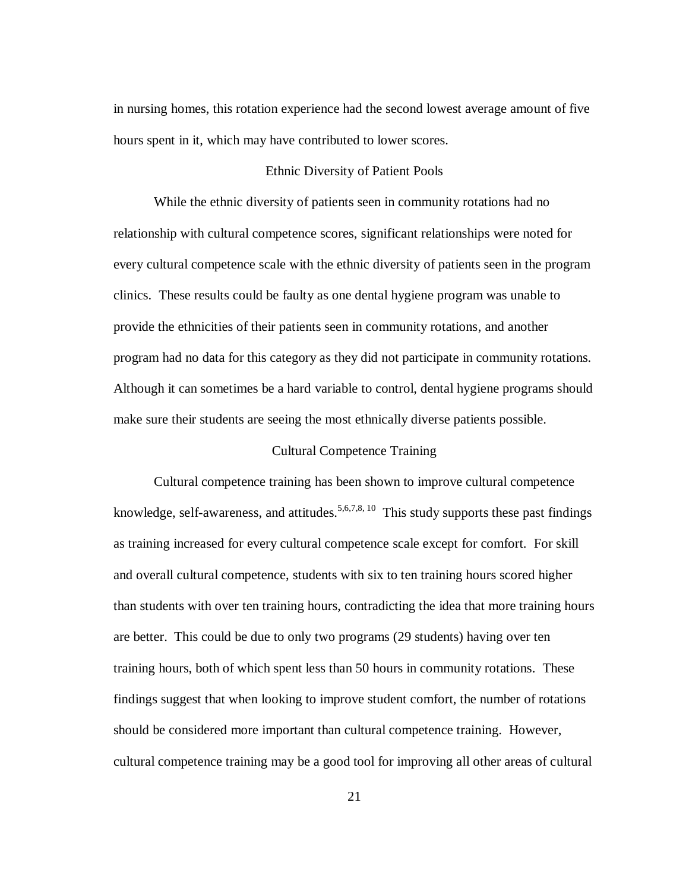in nursing homes, this rotation experience had the second lowest average amount of five hours spent in it, which may have contributed to lower scores.

#### Ethnic Diversity of Patient Pools

While the ethnic diversity of patients seen in community rotations had no relationship with cultural competence scores, significant relationships were noted for every cultural competence scale with the ethnic diversity of patients seen in the program clinics. These results could be faulty as one dental hygiene program was unable to provide the ethnicities of their patients seen in community rotations, and another program had no data for this category as they did not participate in community rotations. Although it can sometimes be a hard variable to control, dental hygiene programs should make sure their students are seeing the most ethnically diverse patients possible.

#### Cultural Competence Training

Cultural competence training has been shown to improve cultural competence knowledge, self-awareness, and attitudes.<sup>5,6,7,8, 10</sup> This study supports these past findings as training increased for every cultural competence scale except for comfort. For skill and overall cultural competence, students with six to ten training hours scored higher than students with over ten training hours, contradicting the idea that more training hours are better. This could be due to only two programs (29 students) having over ten training hours, both of which spent less than 50 hours in community rotations. These findings suggest that when looking to improve student comfort, the number of rotations should be considered more important than cultural competence training. However, cultural competence training may be a good tool for improving all other areas of cultural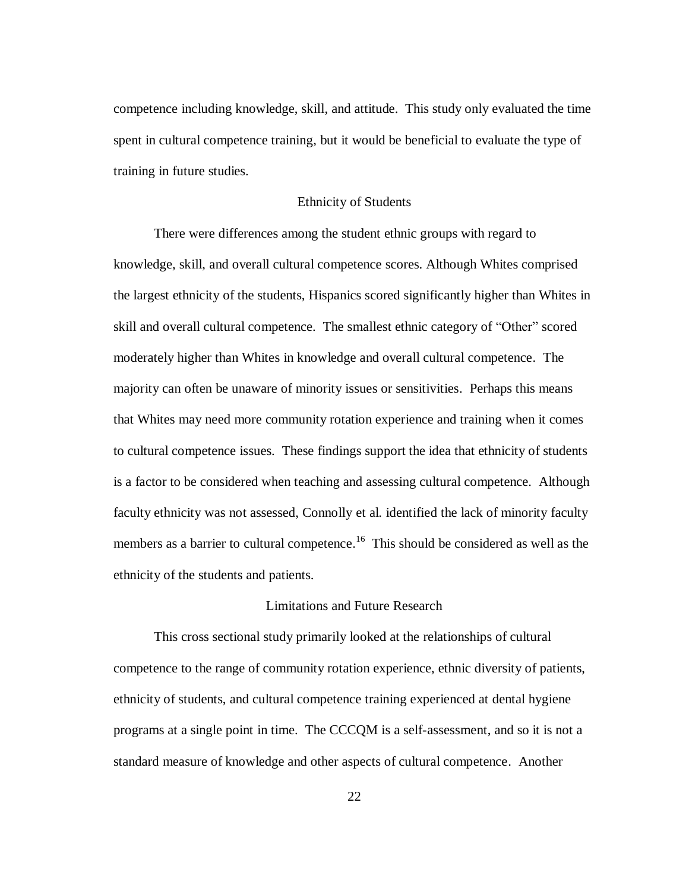competence including knowledge, skill, and attitude. This study only evaluated the time spent in cultural competence training, but it would be beneficial to evaluate the type of training in future studies.

#### Ethnicity of Students

There were differences among the student ethnic groups with regard to knowledge, skill, and overall cultural competence scores. Although Whites comprised the largest ethnicity of the students, Hispanics scored significantly higher than Whites in skill and overall cultural competence. The smallest ethnic category of "Other" scored moderately higher than Whites in knowledge and overall cultural competence. The majority can often be unaware of minority issues or sensitivities. Perhaps this means that Whites may need more community rotation experience and training when it comes to cultural competence issues. These findings support the idea that ethnicity of students is a factor to be considered when teaching and assessing cultural competence. Although faculty ethnicity was not assessed, Connolly et al. identified the lack of minority faculty members as a barrier to cultural competence.<sup>16</sup> This should be considered as well as the ethnicity of the students and patients.

#### Limitations and Future Research

This cross sectional study primarily looked at the relationships of cultural competence to the range of community rotation experience, ethnic diversity of patients, ethnicity of students, and cultural competence training experienced at dental hygiene programs at a single point in time. The CCCQM is a self-assessment, and so it is not a standard measure of knowledge and other aspects of cultural competence. Another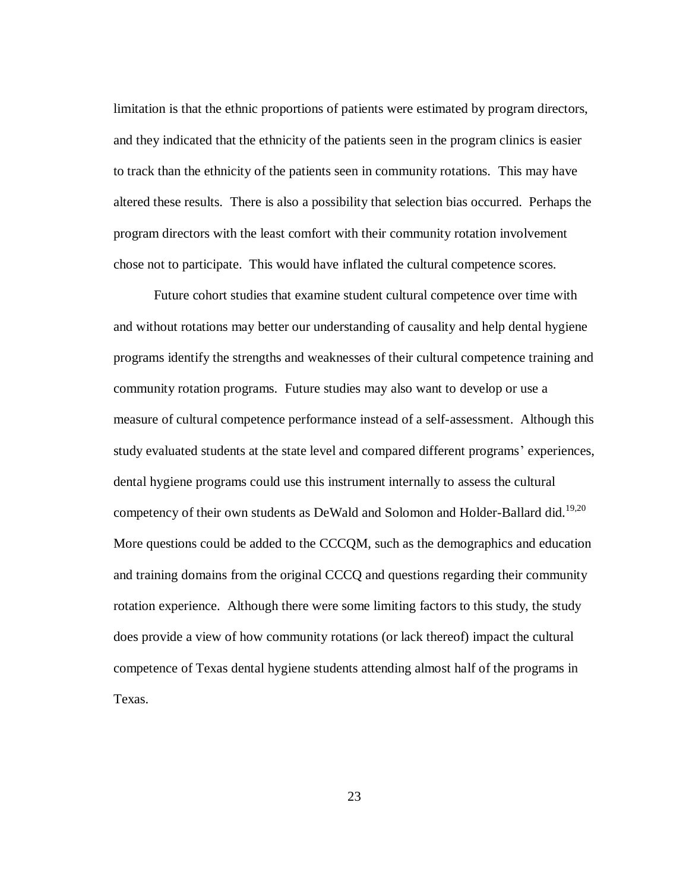limitation is that the ethnic proportions of patients were estimated by program directors, and they indicated that the ethnicity of the patients seen in the program clinics is easier to track than the ethnicity of the patients seen in community rotations. This may have altered these results. There is also a possibility that selection bias occurred. Perhaps the program directors with the least comfort with their community rotation involvement chose not to participate. This would have inflated the cultural competence scores.

Future cohort studies that examine student cultural competence over time with and without rotations may better our understanding of causality and help dental hygiene programs identify the strengths and weaknesses of their cultural competence training and community rotation programs. Future studies may also want to develop or use a measure of cultural competence performance instead of a self-assessment. Although this study evaluated students at the state level and compared different programs' experiences, dental hygiene programs could use this instrument internally to assess the cultural competency of their own students as DeWald and Solomon and Holder-Ballard did.<sup>19,20</sup> More questions could be added to the CCCQM, such as the demographics and education and training domains from the original CCCQ and questions regarding their community rotation experience. Although there were some limiting factors to this study, the study does provide a view of how community rotations (or lack thereof) impact the cultural competence of Texas dental hygiene students attending almost half of the programs in Texas.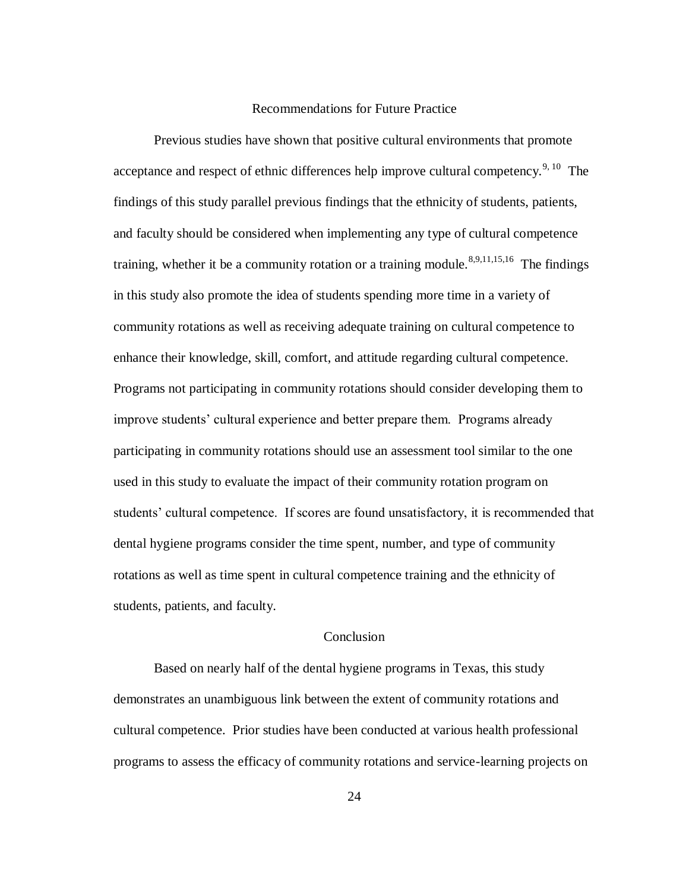#### Recommendations for Future Practice

Previous studies have shown that positive cultural environments that promote acceptance and respect of ethnic differences help improve cultural competency.<sup>9, 10</sup> The findings of this study parallel previous findings that the ethnicity of students, patients, and faculty should be considered when implementing any type of cultural competence training, whether it be a community rotation or a training module.<sup>8,9,11,15,16</sup> The findings in this study also promote the idea of students spending more time in a variety of community rotations as well as receiving adequate training on cultural competence to enhance their knowledge, skill, comfort, and attitude regarding cultural competence. Programs not participating in community rotations should consider developing them to improve students' cultural experience and better prepare them. Programs already participating in community rotations should use an assessment tool similar to the one used in this study to evaluate the impact of their community rotation program on students' cultural competence. If scores are found unsatisfactory, it is recommended that dental hygiene programs consider the time spent, number, and type of community rotations as well as time spent in cultural competence training and the ethnicity of students, patients, and faculty.

#### **Conclusion**

Based on nearly half of the dental hygiene programs in Texas, this study demonstrates an unambiguous link between the extent of community rotations and cultural competence. Prior studies have been conducted at various health professional programs to assess the efficacy of community rotations and service-learning projects on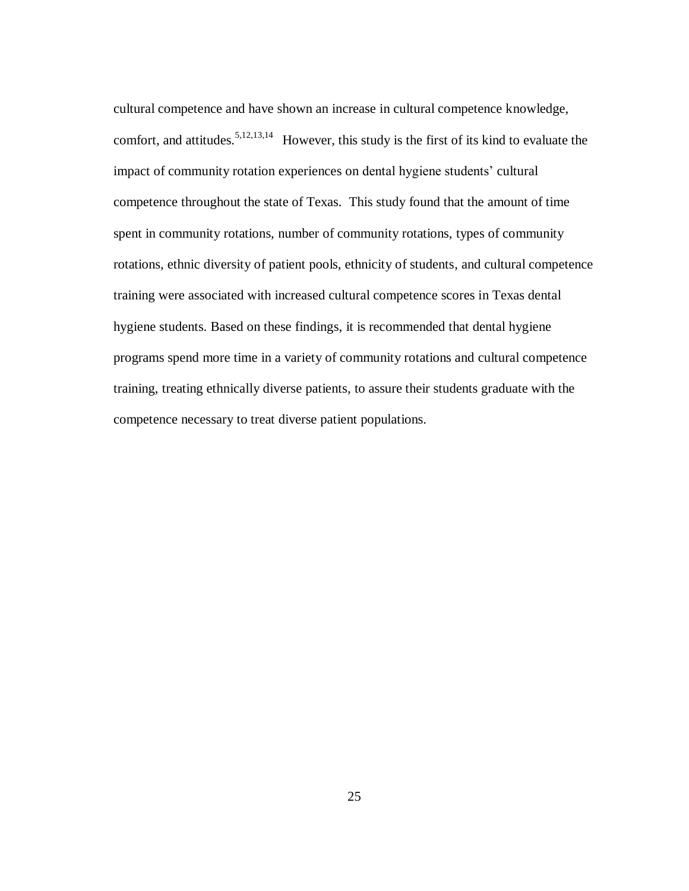cultural competence and have shown an increase in cultural competence knowledge, comfort, and attitudes.<sup>5,12,13,14</sup> However, this study is the first of its kind to evaluate the impact of community rotation experiences on dental hygiene students' cultural competence throughout the state of Texas. This study found that the amount of time spent in community rotations, number of community rotations, types of community rotations, ethnic diversity of patient pools, ethnicity of students, and cultural competence training were associated with increased cultural competence scores in Texas dental hygiene students. Based on these findings, it is recommended that dental hygiene programs spend more time in a variety of community rotations and cultural competence training, treating ethnically diverse patients, to assure their students graduate with the competence necessary to treat diverse patient populations.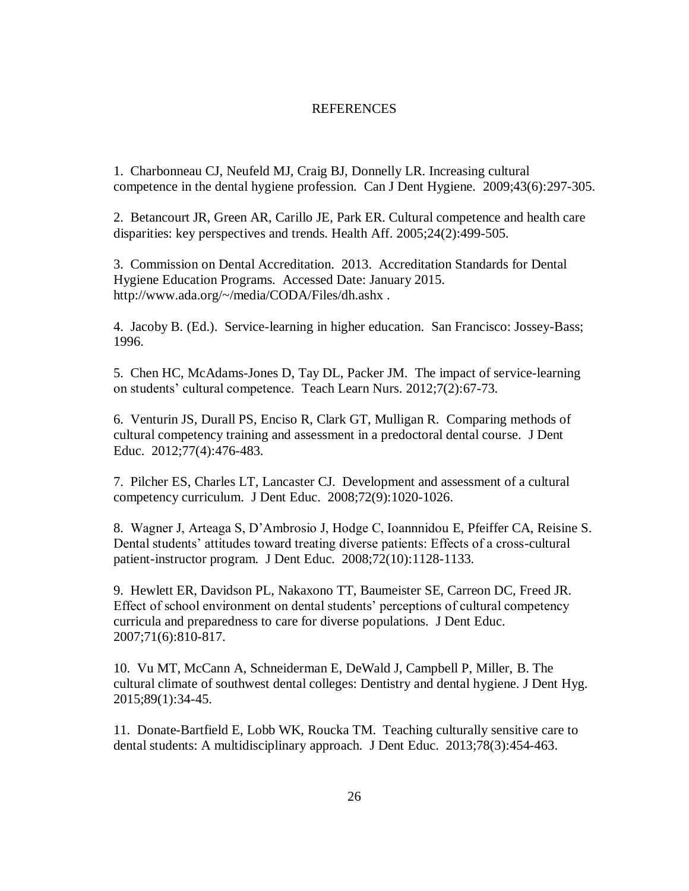#### REFERENCES

1. Charbonneau CJ, Neufeld MJ, Craig BJ, Donnelly LR. Increasing cultural competence in the dental hygiene profession. Can J Dent Hygiene. 2009;43(6):297-305.

2. Betancourt JR, Green AR, Carillo JE, Park ER. Cultural competence and health care disparities: key perspectives and trends. Health Aff. 2005;24(2):499-505.

3. Commission on Dental Accreditation. 2013. Accreditation Standards for Dental Hygiene Education Programs. Accessed Date: January 2015. http://www.ada.org/~/media/CODA/Files/dh.ashx .

4. Jacoby B. (Ed.). Service-learning in higher education. San Francisco: Jossey-Bass; 1996.

5. Chen HC, McAdams-Jones D, Tay DL, Packer JM. The impact of service-learning on students' cultural competence. Teach Learn Nurs. 2012;7(2):67-73.

6. Venturin JS, Durall PS, Enciso R, Clark GT, Mulligan R. Comparing methods of cultural competency training and assessment in a predoctoral dental course. J Dent Educ. 2012;77(4):476-483.

7. Pilcher ES, Charles LT, Lancaster CJ. Development and assessment of a cultural competency curriculum. J Dent Educ. 2008;72(9):1020-1026.

8. Wagner J, Arteaga S, D'Ambrosio J, Hodge C, Ioannnidou E, Pfeiffer CA, Reisine S. Dental students' attitudes toward treating diverse patients: Effects of a cross-cultural patient-instructor program. J Dent Educ. 2008;72(10):1128-1133.

9. Hewlett ER, Davidson PL, Nakaxono TT, Baumeister SE, Carreon DC, Freed JR. Effect of school environment on dental students' perceptions of cultural competency curricula and preparedness to care for diverse populations. J Dent Educ. 2007;71(6):810-817.

10. Vu MT, McCann A, Schneiderman E, DeWald J, Campbell P, Miller, B. The cultural climate of southwest dental colleges: Dentistry and dental hygiene. J Dent Hyg. 2015;89(1):34-45.

11. Donate-Bartfield E, Lobb WK, Roucka TM. Teaching culturally sensitive care to dental students: A multidisciplinary approach. J Dent Educ. 2013;78(3):454-463.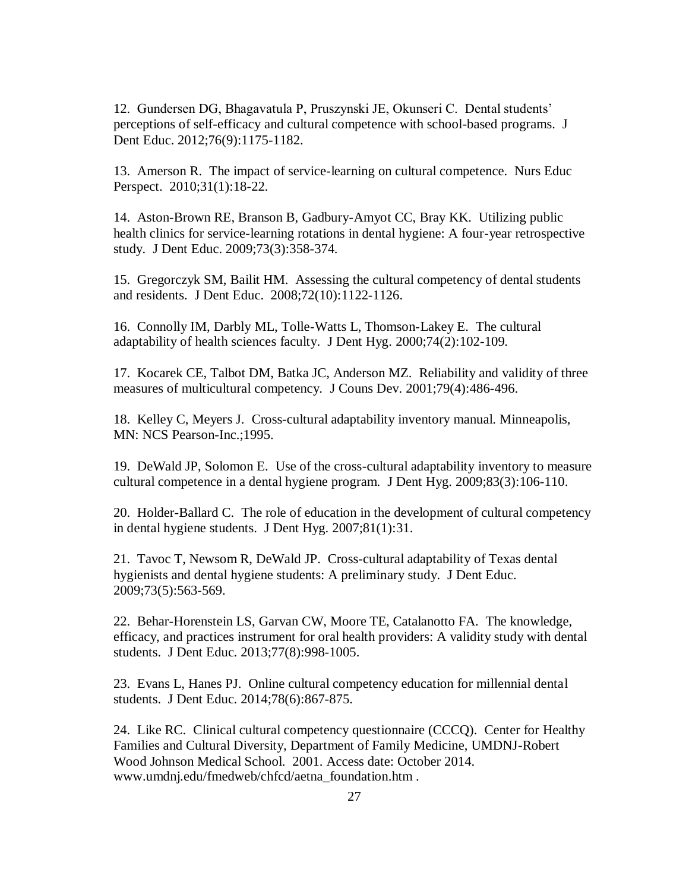12. Gundersen DG, Bhagavatula P, Pruszynski JE, Okunseri C. Dental students' perceptions of self-efficacy and cultural competence with school-based programs. J Dent Educ. 2012;76(9):1175-1182.

13. Amerson R. The impact of service-learning on cultural competence. Nurs Educ Perspect. 2010;31(1):18-22.

14. Aston-Brown RE, Branson B, Gadbury-Amyot CC, Bray KK. Utilizing public health clinics for service-learning rotations in dental hygiene: A four-year retrospective study. J Dent Educ. 2009;73(3):358-374.

15. Gregorczyk SM, Bailit HM. Assessing the cultural competency of dental students and residents. J Dent Educ. 2008;72(10):1122-1126.

16. Connolly IM, Darbly ML, Tolle-Watts L, Thomson-Lakey E. The cultural adaptability of health sciences faculty. J Dent Hyg. 2000;74(2):102-109.

17. Kocarek CE, Talbot DM, Batka JC, Anderson MZ. Reliability and validity of three measures of multicultural competency. J Couns Dev. 2001;79(4):486-496.

18. Kelley C, Meyers J. Cross-cultural adaptability inventory manual. Minneapolis, MN: NCS Pearson-Inc.;1995.

19. DeWald JP, Solomon E. Use of the cross-cultural adaptability inventory to measure cultural competence in a dental hygiene program. J Dent Hyg. 2009;83(3):106-110.

20. Holder-Ballard C. The role of education in the development of cultural competency in dental hygiene students. J Dent Hyg. 2007;81(1):31.

21. Tavoc T, Newsom R, DeWald JP. Cross-cultural adaptability of Texas dental hygienists and dental hygiene students: A preliminary study. J Dent Educ. 2009;73(5):563-569.

22. Behar-Horenstein LS, Garvan CW, Moore TE, Catalanotto FA. The knowledge, efficacy, and practices instrument for oral health providers: A validity study with dental students. J Dent Educ. 2013;77(8):998-1005.

23. Evans L, Hanes PJ. Online cultural competency education for millennial dental students. J Dent Educ. 2014;78(6):867-875.

24. Like RC. Clinical cultural competency questionnaire (CCCQ). Center for Healthy Families and Cultural Diversity, Department of Family Medicine, UMDNJ-Robert Wood Johnson Medical School. 2001. Access date: October 2014. www.umdnj.edu/fmedweb/chfcd/aetna\_foundation.htm .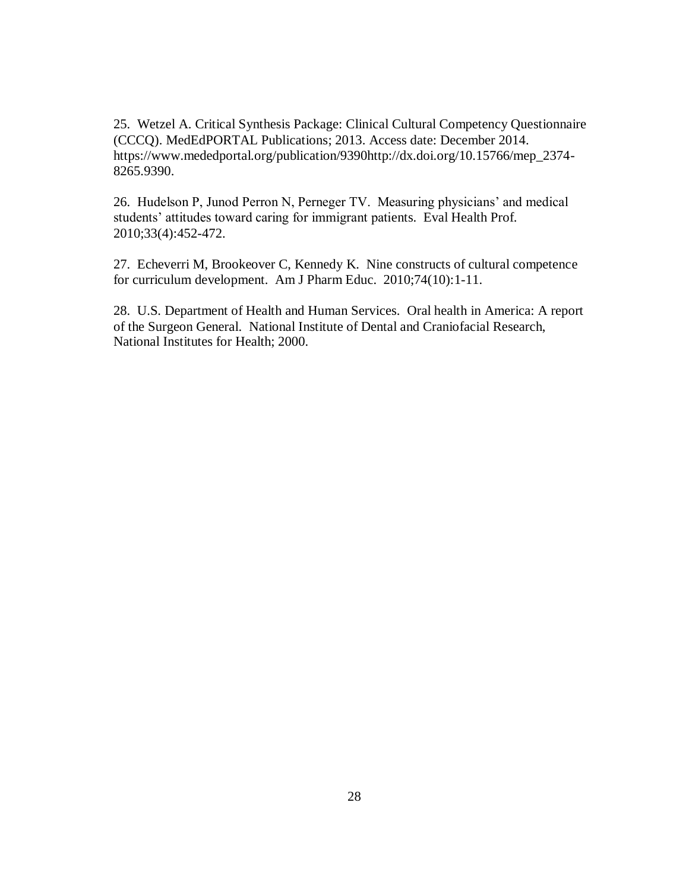25. Wetzel A. Critical Synthesis Package: Clinical Cultural Competency Questionnaire (CCCQ). MedEdPORTAL Publications; 2013. Access date: December 2014. https://www.mededportal.org/publication/9390http://dx.doi.org/10.15766/mep\_2374- 8265.9390.

26. Hudelson P, Junod Perron N, Perneger TV. Measuring physicians' and medical students' attitudes toward caring for immigrant patients. Eval Health Prof. 2010;33(4):452-472.

27. Echeverri M, Brookeover C, Kennedy K. Nine constructs of cultural competence for curriculum development. Am J Pharm Educ. 2010;74(10):1-11.

28. U.S. Department of Health and Human Services. Oral health in America: A report of the Surgeon General. National Institute of Dental and Craniofacial Research, National Institutes for Health; 2000.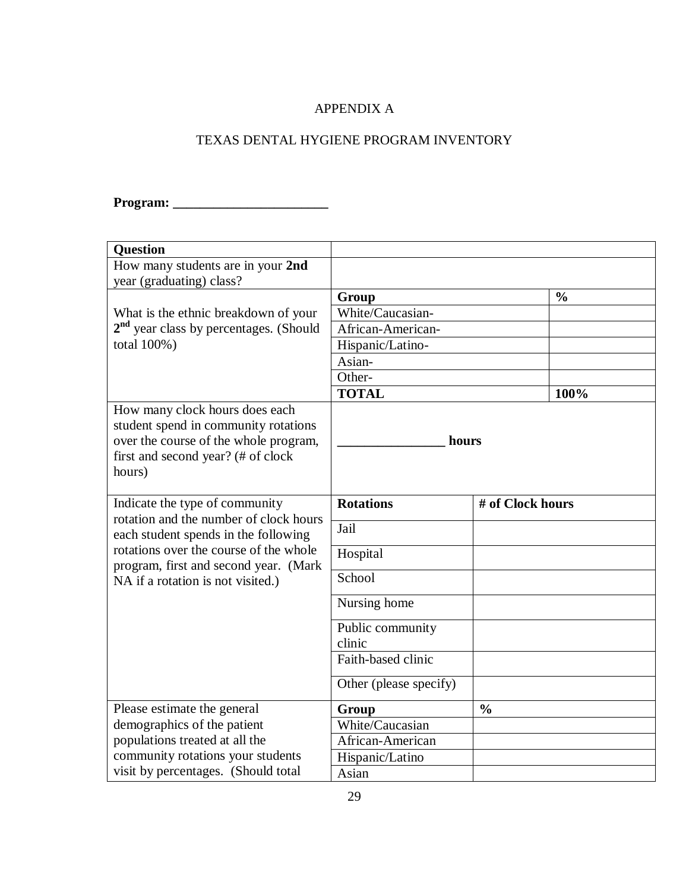# APPENDIX A

# TEXAS DENTAL HYGIENE PROGRAM INVENTORY

# **Program: \_\_\_\_\_\_\_\_\_\_\_\_\_\_\_\_\_\_\_\_\_\_\_**

| <b>Question</b>                                                                                                                                                 |                        |                  |      |
|-----------------------------------------------------------------------------------------------------------------------------------------------------------------|------------------------|------------------|------|
| How many students are in your 2nd                                                                                                                               |                        |                  |      |
| year (graduating) class?                                                                                                                                        |                        |                  |      |
|                                                                                                                                                                 | Group                  | $\frac{0}{0}$    |      |
| What is the ethnic breakdown of your                                                                                                                            | White/Caucasian-       |                  |      |
| $2nd$ year class by percentages. (Should                                                                                                                        | African-American-      |                  |      |
| total 100%)                                                                                                                                                     | Hispanic/Latino-       |                  |      |
|                                                                                                                                                                 | Asian-                 |                  |      |
|                                                                                                                                                                 | Other-                 |                  |      |
|                                                                                                                                                                 | <b>TOTAL</b>           |                  | 100% |
| How many clock hours does each<br>student spend in community rotations<br>over the course of the whole program,<br>first and second year? (# of clock<br>hours) | hours                  |                  |      |
| Indicate the type of community<br>rotation and the number of clock hours                                                                                        | <b>Rotations</b>       | # of Clock hours |      |
| each student spends in the following                                                                                                                            | Jail                   |                  |      |
| rotations over the course of the whole<br>program, first and second year. (Mark                                                                                 | Hospital               |                  |      |
| NA if a rotation is not visited.)                                                                                                                               | School                 |                  |      |
|                                                                                                                                                                 | Nursing home           |                  |      |
|                                                                                                                                                                 | Public community       |                  |      |
|                                                                                                                                                                 | clinic                 |                  |      |
|                                                                                                                                                                 | Faith-based clinic     |                  |      |
|                                                                                                                                                                 | Other (please specify) |                  |      |
| Please estimate the general                                                                                                                                     | Group                  | $\frac{0}{0}$    |      |
| demographics of the patient                                                                                                                                     | White/Caucasian        |                  |      |
| populations treated at all the                                                                                                                                  | African-American       |                  |      |
| community rotations your students                                                                                                                               | Hispanic/Latino        |                  |      |
| visit by percentages. (Should total                                                                                                                             | Asian                  |                  |      |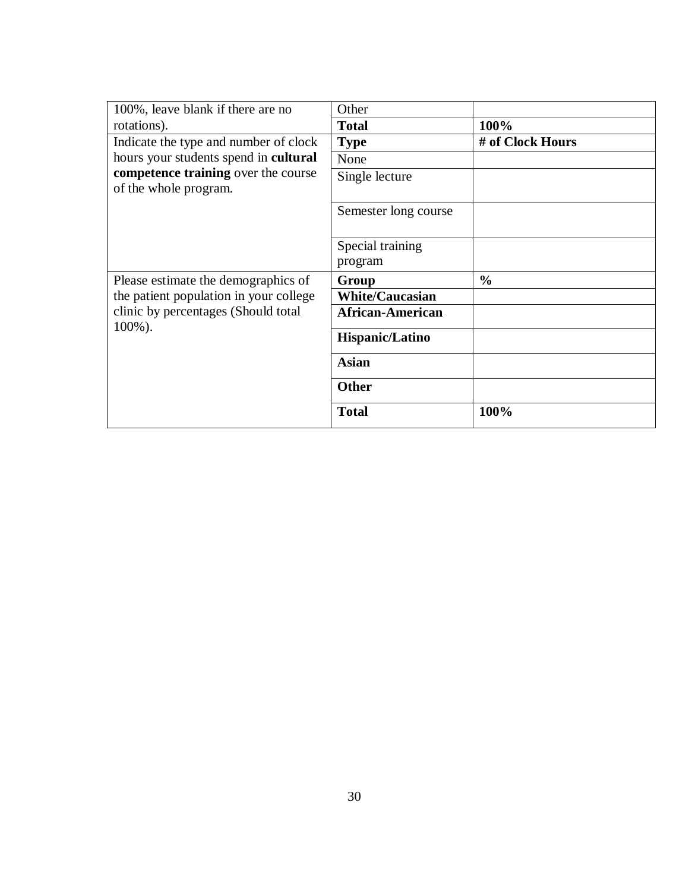| 100%, leave blank if there are no                            | Other                       |                  |
|--------------------------------------------------------------|-----------------------------|------------------|
| rotations).                                                  | <b>Total</b>                | 100%             |
| Indicate the type and number of clock                        | <b>Type</b>                 | # of Clock Hours |
| hours your students spend in cultural                        | None                        |                  |
| competence training over the course<br>of the whole program. | Single lecture              |                  |
|                                                              | Semester long course        |                  |
|                                                              | Special training<br>program |                  |
| Please estimate the demographics of                          | Group                       | $\frac{0}{0}$    |
| the patient population in your college                       | <b>White/Caucasian</b>      |                  |
| clinic by percentages (Should total<br>$100\%$ ).            | <b>African-American</b>     |                  |
|                                                              | <b>Hispanic/Latino</b>      |                  |
|                                                              | <b>Asian</b>                |                  |
|                                                              | <b>Other</b>                |                  |
|                                                              | <b>Total</b>                | 100%             |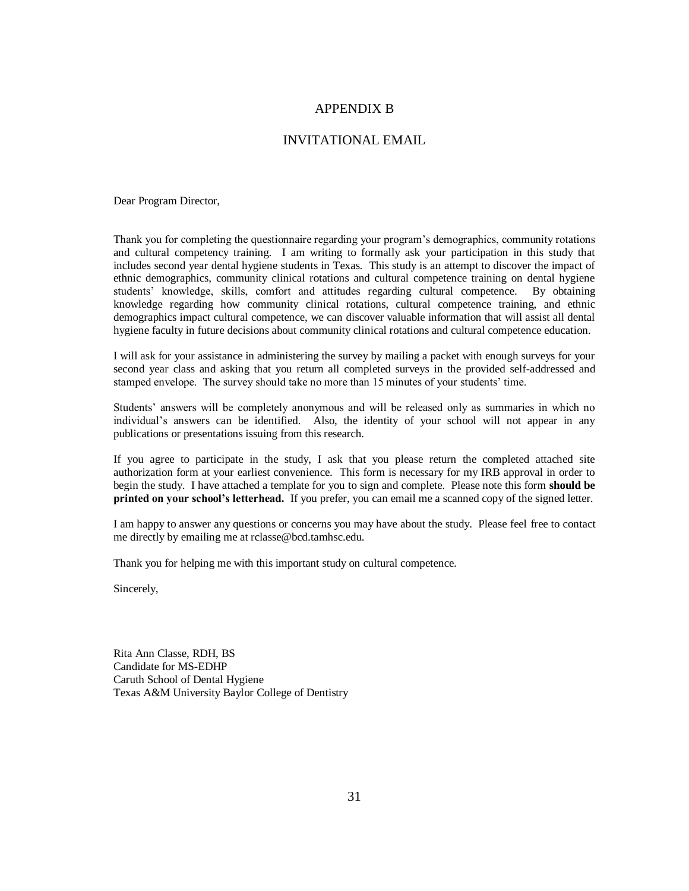#### APPENDIX B

#### INVITATIONAL EMAIL

Dear Program Director,

Thank you for completing the questionnaire regarding your program's demographics, community rotations and cultural competency training. I am writing to formally ask your participation in this study that includes second year dental hygiene students in Texas. This study is an attempt to discover the impact of ethnic demographics, community clinical rotations and cultural competence training on dental hygiene students' knowledge, skills, comfort and attitudes regarding cultural competence. By obtaining knowledge regarding how community clinical rotations, cultural competence training, and ethnic demographics impact cultural competence, we can discover valuable information that will assist all dental hygiene faculty in future decisions about community clinical rotations and cultural competence education.

I will ask for your assistance in administering the survey by mailing a packet with enough surveys for your second year class and asking that you return all completed surveys in the provided self-addressed and stamped envelope. The survey should take no more than 15 minutes of your students' time.

Students' answers will be completely anonymous and will be released only as summaries in which no individual's answers can be identified. Also, the identity of your school will not appear in any publications or presentations issuing from this research.

If you agree to participate in the study, I ask that you please return the completed attached site authorization form at your earliest convenience. This form is necessary for my IRB approval in order to begin the study. I have attached a template for you to sign and complete. Please note this form **should be printed on your school's letterhead.** If you prefer, you can email me a scanned copy of the signed letter.

I am happy to answer any questions or concerns you may have about the study. Please feel free to contact me directly by emailing me at rclasse@bcd.tamhsc.edu.

Thank you for helping me with this important study on cultural competence.

Sincerely,

Rita Ann Classe, RDH, BS Candidate for MS-EDHP Caruth School of Dental Hygiene Texas A&M University Baylor College of Dentistry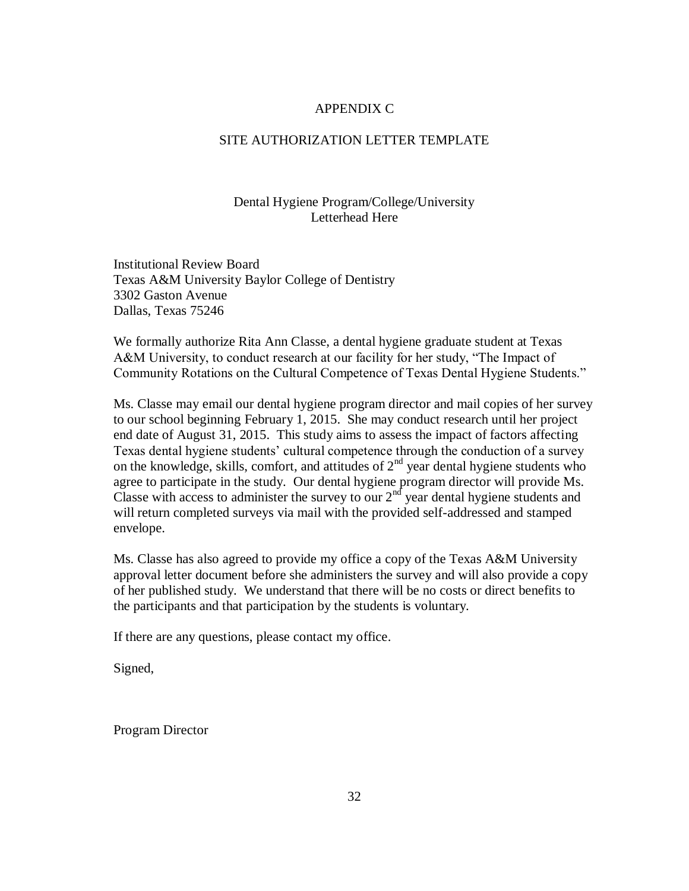#### APPENDIX C

#### SITE AUTHORIZATION LETTER TEMPLATE

#### Dental Hygiene Program/College/University Letterhead Here

Institutional Review Board Texas A&M University Baylor College of Dentistry 3302 Gaston Avenue Dallas, Texas 75246

We formally authorize Rita Ann Classe, a dental hygiene graduate student at Texas A&M University, to conduct research at our facility for her study, "The Impact of Community Rotations on the Cultural Competence of Texas Dental Hygiene Students."

Ms. Classe may email our dental hygiene program director and mail copies of her survey to our school beginning February 1, 2015. She may conduct research until her project end date of August 31, 2015. This study aims to assess the impact of factors affecting Texas dental hygiene students' cultural competence through the conduction of a survey on the knowledge, skills, comfort, and attitudes of  $2<sup>nd</sup>$  year dental hygiene students who agree to participate in the study. Our dental hygiene program director will provide Ms. Classe with access to administer the survey to our  $2<sup>nd</sup>$  year dental hygiene students and will return completed surveys via mail with the provided self-addressed and stamped envelope.

Ms. Classe has also agreed to provide my office a copy of the Texas A&M University approval letter document before she administers the survey and will also provide a copy of her published study. We understand that there will be no costs or direct benefits to the participants and that participation by the students is voluntary.

If there are any questions, please contact my office.

Signed,

Program Director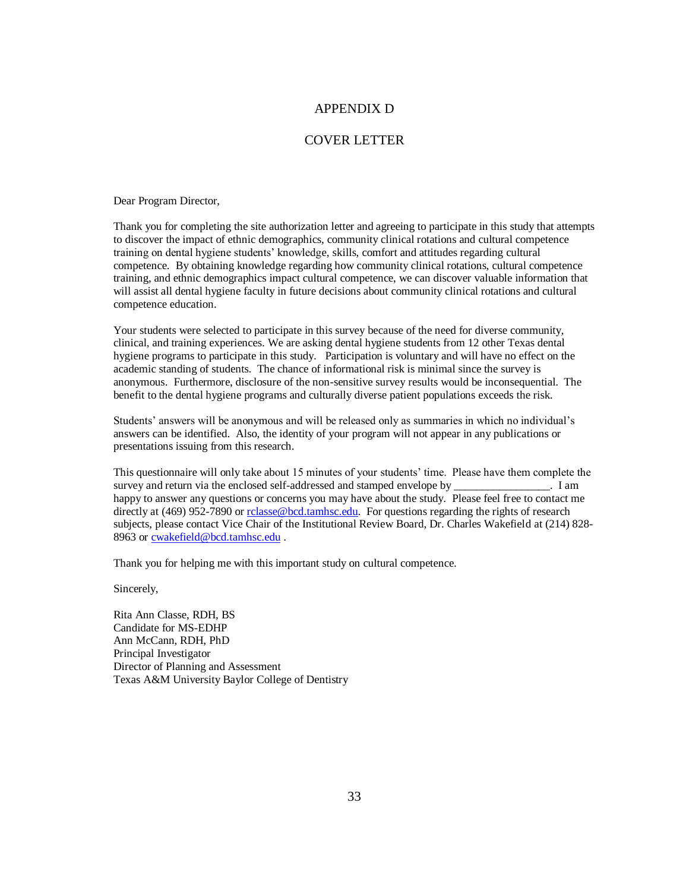#### APPENDIX D

#### COVER LETTER

Dear Program Director,

Thank you for completing the site authorization letter and agreeing to participate in this study that attempts to discover the impact of ethnic demographics, community clinical rotations and cultural competence training on dental hygiene students' knowledge, skills, comfort and attitudes regarding cultural competence. By obtaining knowledge regarding how community clinical rotations, cultural competence training, and ethnic demographics impact cultural competence, we can discover valuable information that will assist all dental hygiene faculty in future decisions about community clinical rotations and cultural competence education.

Your students were selected to participate in this survey because of the need for diverse community, clinical, and training experiences. We are asking dental hygiene students from 12 other Texas dental hygiene programs to participate in this study. Participation is voluntary and will have no effect on the academic standing of students. The chance of informational risk is minimal since the survey is anonymous. Furthermore, disclosure of the non-sensitive survey results would be inconsequential. The benefit to the dental hygiene programs and culturally diverse patient populations exceeds the risk.

Students' answers will be anonymous and will be released only as summaries in which no individual's answers can be identified. Also, the identity of your program will not appear in any publications or presentations issuing from this research.

This questionnaire will only take about 15 minutes of your students' time. Please have them complete the survey and return via the enclosed self-addressed and stamped envelope by \_\_\_\_\_\_\_\_\_\_\_\_\_\_\_\_\_. I am happy to answer any questions or concerns you may have about the study. Please feel free to contact me directly at (469) 952-7890 o[r rclasse@bcd.tamhsc.edu.](mailto:rclasse@bcd.tamhsc.edu) For questions regarding the rights of research subjects, please contact Vice Chair of the Institutional Review Board, Dr. Charles Wakefield at (214) 828- 8963 or [cwakefield@bcd.tamhsc.edu](mailto:cwakefield@bcd.tamhsc.edu) .

Thank you for helping me with this important study on cultural competence.

Sincerely,

Rita Ann Classe, RDH, BS Candidate for MS-EDHP Ann McCann, RDH, PhD Principal Investigator Director of Planning and Assessment Texas A&M University Baylor College of Dentistry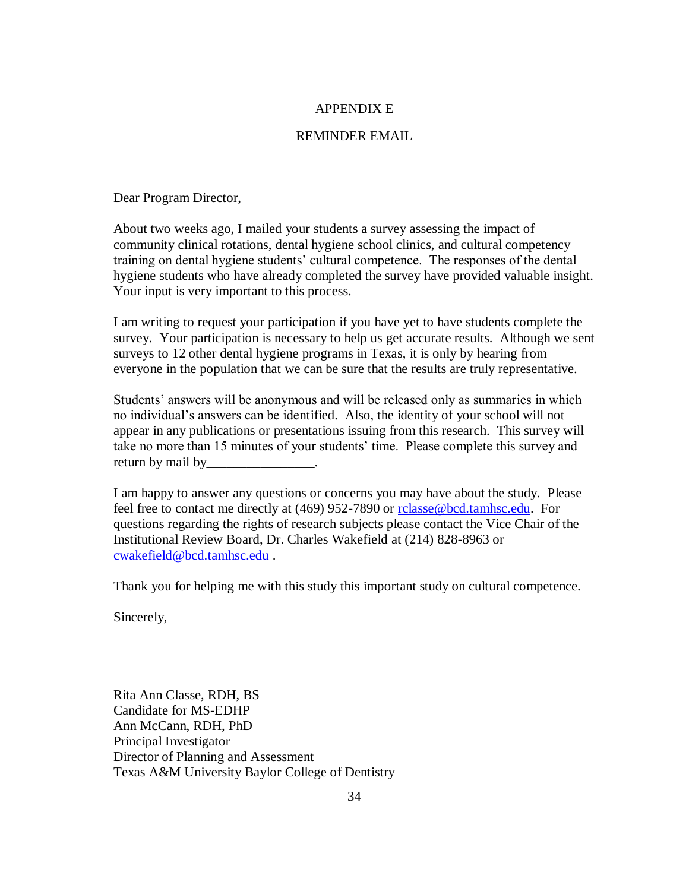#### APPENDIX E

#### REMINDER EMAIL

Dear Program Director,

About two weeks ago, I mailed your students a survey assessing the impact of community clinical rotations, dental hygiene school clinics, and cultural competency training on dental hygiene students' cultural competence. The responses of the dental hygiene students who have already completed the survey have provided valuable insight. Your input is very important to this process.

I am writing to request your participation if you have yet to have students complete the survey. Your participation is necessary to help us get accurate results. Although we sent surveys to 12 other dental hygiene programs in Texas, it is only by hearing from everyone in the population that we can be sure that the results are truly representative.

Students' answers will be anonymous and will be released only as summaries in which no individual's answers can be identified. Also, the identity of your school will not appear in any publications or presentations issuing from this research. This survey will take no more than 15 minutes of your students' time. Please complete this survey and return by mail by

I am happy to answer any questions or concerns you may have about the study. Please feel free to contact me directly at (469) 952-7890 or [rclasse@bcd.tamhsc.edu.](mailto:rclasse@bcd.tamhsc.edu) For questions regarding the rights of research subjects please contact the Vice Chair of the Institutional Review Board, Dr. Charles Wakefield at (214) 828-8963 or [cwakefield@bcd.tamhsc.edu](mailto:cwakefield@bcd.tamhsc.edu) .

Thank you for helping me with this study this important study on cultural competence.

Sincerely,

Rita Ann Classe, RDH, BS Candidate for MS-EDHP Ann McCann, RDH, PhD Principal Investigator Director of Planning and Assessment Texas A&M University Baylor College of Dentistry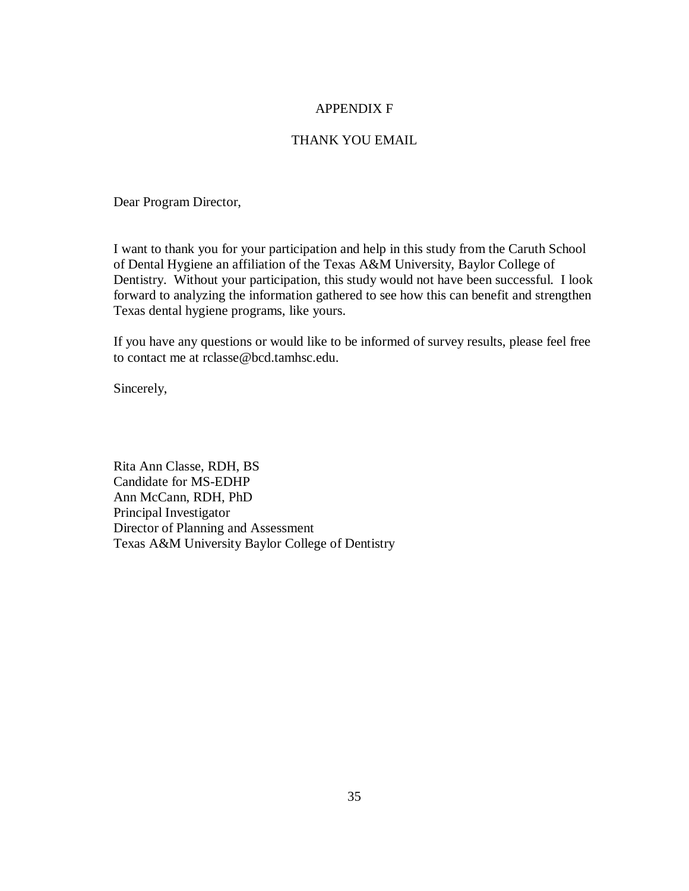#### APPENDIX F

#### THANK YOU EMAIL

Dear Program Director,

I want to thank you for your participation and help in this study from the Caruth School of Dental Hygiene an affiliation of the Texas A&M University, Baylor College of Dentistry. Without your participation, this study would not have been successful. I look forward to analyzing the information gathered to see how this can benefit and strengthen Texas dental hygiene programs, like yours.

If you have any questions or would like to be informed of survey results, please feel free to contact me at rclasse@bcd.tamhsc.edu.

Sincerely,

Rita Ann Classe, RDH, BS Candidate for MS-EDHP Ann McCann, RDH, PhD Principal Investigator Director of Planning and Assessment Texas A&M University Baylor College of Dentistry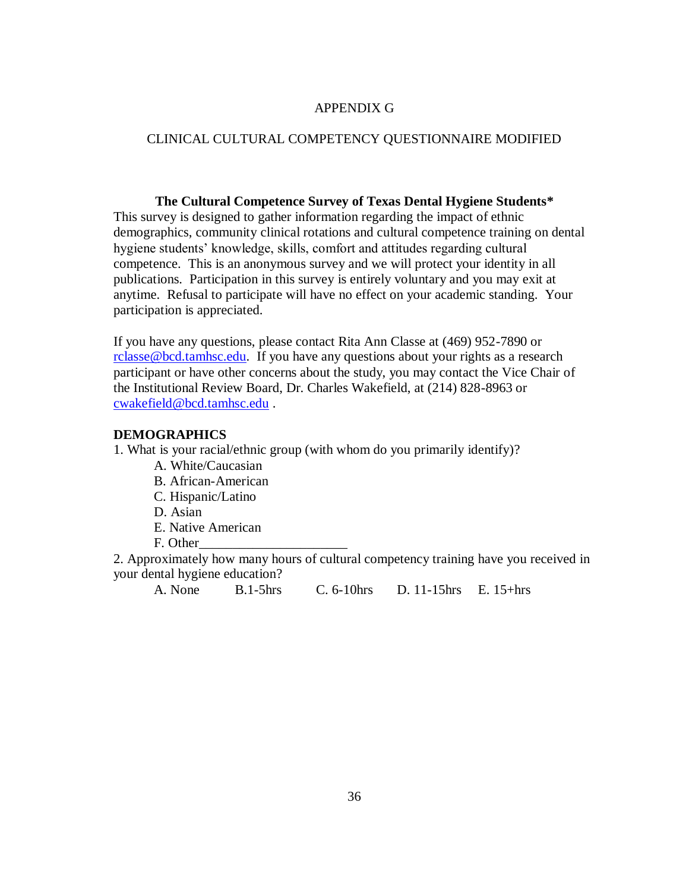#### APPENDIX G

#### CLINICAL CULTURAL COMPETENCY QUESTIONNAIRE MODIFIED

#### **The Cultural Competence Survey of Texas Dental Hygiene Students\***

This survey is designed to gather information regarding the impact of ethnic demographics, community clinical rotations and cultural competence training on dental hygiene students' knowledge, skills, comfort and attitudes regarding cultural competence. This is an anonymous survey and we will protect your identity in all publications. Participation in this survey is entirely voluntary and you may exit at anytime. Refusal to participate will have no effect on your academic standing. Your participation is appreciated.

If you have any questions, please contact Rita Ann Classe at (469) 952-7890 or rclasse@bcd.tamhsc.edu. If you have any questions about your rights as a research participant or have other concerns about the study, you may contact the Vice Chair of the Institutional Review Board, Dr. Charles Wakefield, at (214) 828-8963 or [cwakefield@bcd.tamhsc.](mailto:rclasse@bcd.tamhsc.edu)edu .

#### **DEMOGRAPHICS**

[1. What is your racial/ethnic g](mailto:cwakefield@bcd.tamhsc.edu)roup (with whom do you primarily identify)?

- A. White/Caucasian
- B. African-American
- C. Hispanic/Latino
- D. Asian
- E. Native American
- F. Other\_\_\_\_\_\_\_\_\_\_\_\_\_\_\_\_\_\_\_\_\_\_

2. Approximately how many hours of cultural competency training have you received in your dental hygiene education?

A. None B.1-5hrs C. 6-10hrs D. 11-15hrs E. 15+hrs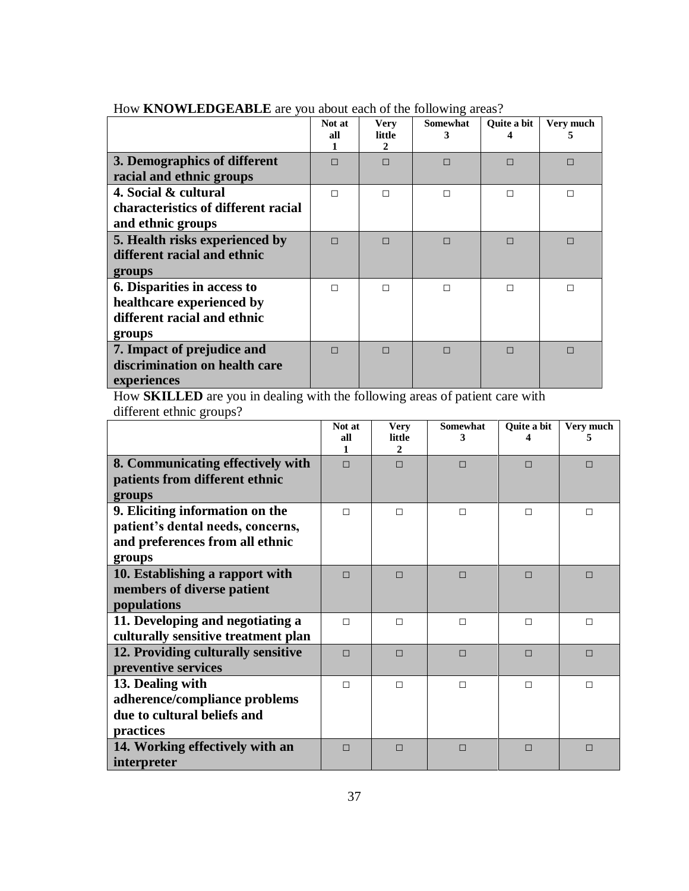|                                                                                                   | Not at<br>all | Very<br>little<br>2 | <b>Somewhat</b><br>3 | <b>Ouite a bit</b> | Very much<br>'n. |
|---------------------------------------------------------------------------------------------------|---------------|---------------------|----------------------|--------------------|------------------|
| 3. Demographics of different<br>racial and ethnic groups                                          | П             | П                   | П                    | ⊓                  | П                |
| 4. Social & cultural<br>characteristics of different racial<br>and ethnic groups                  | П             | П                   | п                    |                    |                  |
| 5. Health risks experienced by<br>different racial and ethnic<br>groups                           | $\Box$        | П                   | $\Box$               | П                  | П                |
| 6. Disparities in access to<br>healthcare experienced by<br>different racial and ethnic<br>groups | П             | п                   | п                    |                    |                  |
| 7. Impact of prejudice and<br>discrimination on health care<br>experiences                        | $\Box$        | П                   | П                    |                    | П                |

How **KNOWLEDGEABLE** are you about each of the following areas?

How **SKILLED** are you in dealing with the following areas of patient care with different ethnic groups?

|                                     | Not at<br>all<br>1 | <b>Very</b><br>little<br>$\mathbf{2}$ | <b>Somewhat</b><br>3 | Quite a bit | Very much |
|-------------------------------------|--------------------|---------------------------------------|----------------------|-------------|-----------|
| 8. Communicating effectively with   | $\Box$             | $\Box$                                | $\Box$               | $\Box$      | ⊓         |
| patients from different ethnic      |                    |                                       |                      |             |           |
| groups                              |                    |                                       |                      |             |           |
| 9. Eliciting information on the     | П                  | $\Box$                                | $\Box$               | $\Box$      | □         |
| patient's dental needs, concerns,   |                    |                                       |                      |             |           |
| and preferences from all ethnic     |                    |                                       |                      |             |           |
| groups                              |                    |                                       |                      |             |           |
| 10. Establishing a rapport with     | П                  | $\Box$                                | $\Box$               | $\Box$      | $\Box$    |
| members of diverse patient          |                    |                                       |                      |             |           |
| populations                         |                    |                                       |                      |             |           |
| 11. Developing and negotiating a    | П                  | $\Box$                                | П                    | П           | $\Box$    |
| culturally sensitive treatment plan |                    |                                       |                      |             |           |
| 12. Providing culturally sensitive  | $\Box$             | $\Box$                                | $\Box$               | $\Box$      | $\Box$    |
| preventive services                 |                    |                                       |                      |             |           |
| 13. Dealing with                    | П                  | $\Box$                                | П                    | П           | П         |
| adherence/compliance problems       |                    |                                       |                      |             |           |
| due to cultural beliefs and         |                    |                                       |                      |             |           |
| practices                           |                    |                                       |                      |             |           |
| 14. Working effectively with an     | $\Box$             | $\Box$                                | $\Box$               | $\Box$      | ⊓         |
| interpreter                         |                    |                                       |                      |             |           |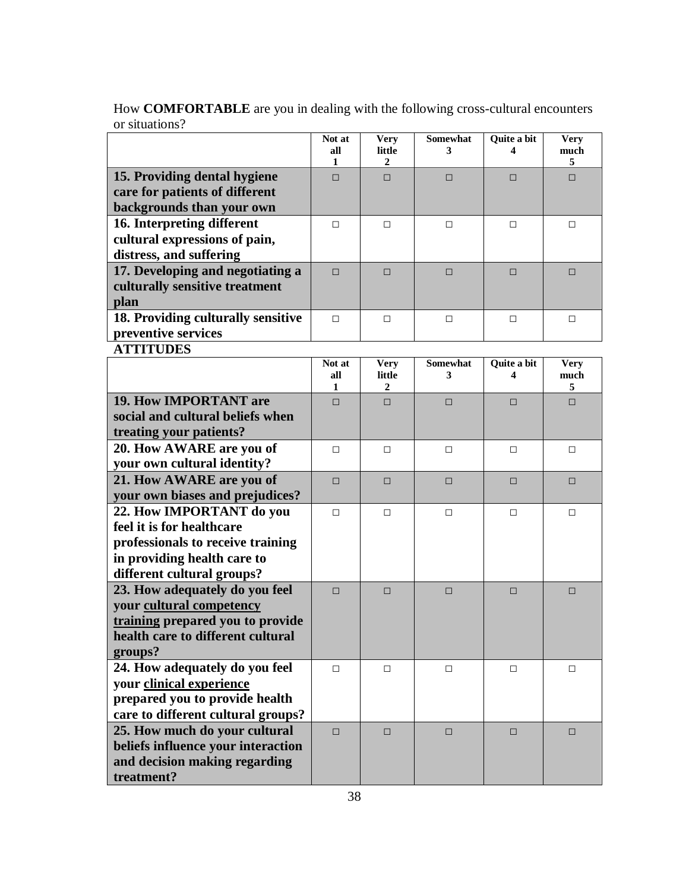|                                                                                                                                                         | Not at<br>all<br>1. | <b>Very</b><br>little<br>2 | <b>Somewhat</b><br>3 | Quite a bit<br>4 | <b>Very</b><br>much<br>5 |
|---------------------------------------------------------------------------------------------------------------------------------------------------------|---------------------|----------------------------|----------------------|------------------|--------------------------|
| 15. Providing dental hygiene<br>care for patients of different<br>backgrounds than your own                                                             | $\Box$              | $\Box$                     | $\Box$               | $\Box$           | $\Box$                   |
| 16. Interpreting different<br>cultural expressions of pain,<br>distress, and suffering                                                                  | □                   | $\Box$                     | □                    | $\Box$           | $\Box$                   |
| 17. Developing and negotiating a<br>culturally sensitive treatment<br>plan                                                                              | $\Box$              | $\Box$                     | $\Box$               | $\Box$           | □                        |
| 18. Providing culturally sensitive<br>preventive services                                                                                               | □                   | $\Box$                     | □                    | $\Box$           | $\Box$                   |
| <b>ATTITUDES</b>                                                                                                                                        |                     |                            |                      |                  |                          |
|                                                                                                                                                         | Not at<br>all<br>1  | <b>Very</b><br>little<br>2 | Somewhat<br>3        | Quite a bit<br>4 | <b>Very</b><br>much<br>5 |
| <b>19. How IMPORTANT are</b><br>social and cultural beliefs when<br>treating your patients?                                                             | $\Box$              | $\Box$                     | $\Box$               | $\Box$           | $\Box$                   |
| 20. How AWARE are you of<br>your own cultural identity?                                                                                                 | □                   | $\Box$                     | □                    | □                | $\Box$                   |
| 21. How AWARE are you of<br>your own biases and prejudices?                                                                                             | $\Box$              | $\Box$                     | $\Box$               | $\Box$           | $\Box$                   |
| 22. How IMPORTANT do you<br>feel it is for healthcare<br>professionals to receive training<br>in providing health care to<br>different cultural groups? | $\Box$              | $\Box$                     | □                    | □                | $\Box$                   |
| 23. How adequately do you feel<br>your cultural competency<br>training prepared you to provide<br>health care to different cultural<br>groups?          | $\Box$              | $\Box$                     | $\Box$               | □                | $\Box$                   |
| 24. How adequately do you feel<br>your clinical experience<br>prepared you to provide health<br>care to different cultural groups?                      | $\Box$              | $\Box$                     | □                    | □                | □                        |
| 25. How much do your cultural<br>beliefs influence your interaction<br>and decision making regarding<br>treatment?                                      | $\Box$              | $\Box$                     | $\Box$               | □                | □                        |

How **COMFORTABLE** are you in dealing with the following cross-cultural encounters or situations?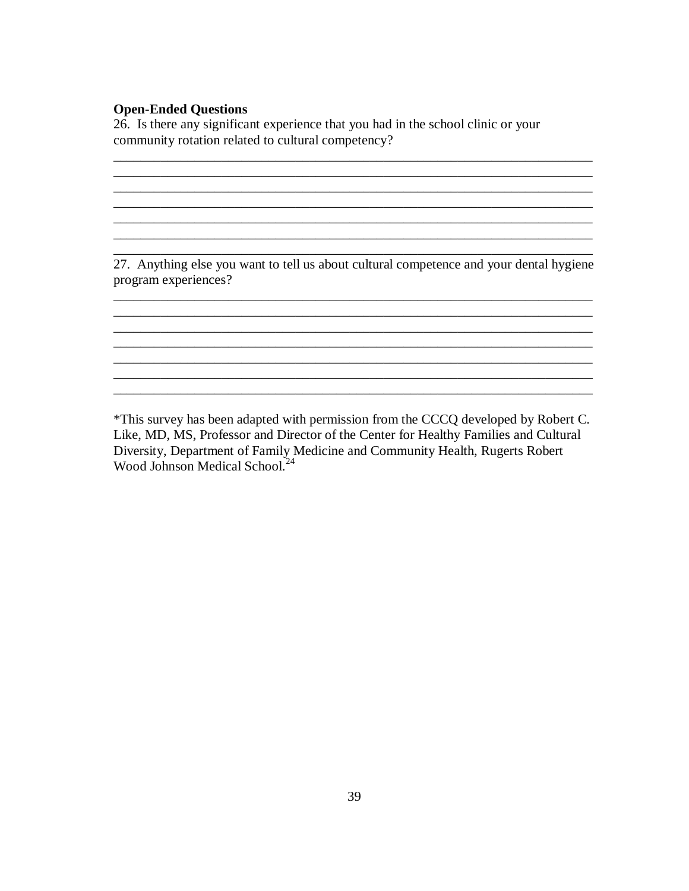#### **Open-Ended Questions**

26. Is there any significant experience that you had in the school clinic or your community rotation related to cultural competency?

27. Anything else you want to tell us about cultural competence and your dental hygiene program experiences?

\_\_\_\_\_\_\_\_\_\_\_\_\_\_\_\_\_\_\_\_\_\_\_\_\_\_\_\_\_\_\_\_\_\_\_\_\_\_\_\_\_\_\_\_\_\_\_\_\_\_\_\_\_\_\_\_\_\_\_\_\_\_\_\_\_\_\_\_\_\_\_

 $\ldots$  . The contribution of the contribution of the contribution of the contribution of the contribution of the contribution of the contribution of the contribution of the contribution of the contribution of the contribut

 $\mathcal{L}_\text{max} = \mathcal{L}_\text{max} = \mathcal{L}_\text{max} = \mathcal{L}_\text{max} = \mathcal{L}_\text{max} = \mathcal{L}_\text{max} = \mathcal{L}_\text{max} = \mathcal{L}_\text{max} = \mathcal{L}_\text{max} = \mathcal{L}_\text{max} = \mathcal{L}_\text{max} = \mathcal{L}_\text{max} = \mathcal{L}_\text{max} = \mathcal{L}_\text{max} = \mathcal{L}_\text{max} = \mathcal{L}_\text{max} = \mathcal{L}_\text{max} = \mathcal{L}_\text{max} = \mathcal{$ 

\_\_\_\_\_\_\_\_\_\_\_\_\_\_\_\_\_\_\_\_\_\_\_\_\_\_\_\_\_\_\_\_\_\_\_\_\_\_\_\_\_\_\_\_\_\_\_\_\_\_\_\_\_\_\_\_\_\_\_\_\_\_\_\_\_\_\_\_\_\_\_

\_\_\_\_\_\_\_\_\_\_\_\_\_\_\_\_\_\_\_\_\_\_\_\_\_\_\_\_\_\_\_\_\_\_\_\_\_\_\_\_\_\_\_\_\_\_\_\_\_\_\_\_\_\_\_\_\_\_\_\_\_\_\_\_\_\_\_\_\_\_\_ \_\_\_\_\_\_\_\_\_\_\_\_\_\_\_\_\_\_\_\_\_\_\_\_\_\_\_\_\_\_\_\_\_\_\_\_\_\_\_\_\_\_\_\_\_\_\_\_\_\_\_\_\_\_\_\_\_\_\_\_\_\_\_\_\_\_\_\_\_\_\_

 $\overline{\phantom{a}}$  , and the contribution of the contribution of the contribution of the contribution of the contribution of the contribution of the contribution of the contribution of the contribution of the contribution of the

\*This survey has been adapted with permission from the CCCQ developed by Robert C. Like, MD, MS, Professor and Director of the Center for Healthy Families and Cultural Diversity, Department of Family Medicine and Community Health, Rugerts Robert Wood Johnson Medical School.<sup>24</sup>

\_\_\_\_\_\_\_\_\_\_\_\_\_\_\_\_\_\_\_\_\_\_\_\_\_\_\_\_\_\_\_\_\_\_\_\_\_\_\_\_\_\_\_\_\_\_\_\_\_\_\_\_\_\_\_\_\_\_\_\_\_\_\_\_\_\_\_\_\_\_\_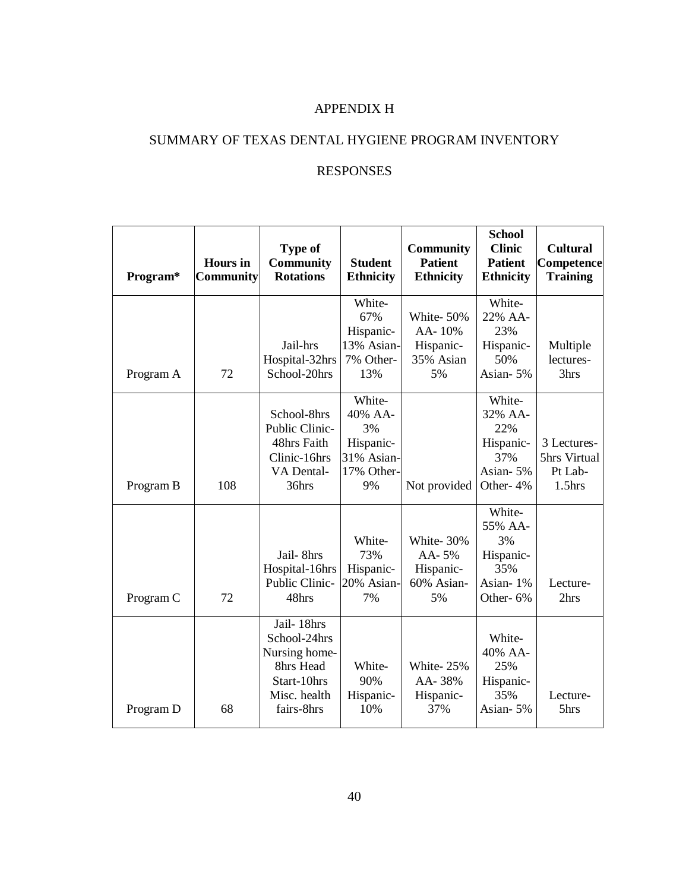# APPENDIX H

# SUMMARY OF TEXAS DENTAL HYGIENE PROGRAM INVENTORY

# RESPONSES

| Program*  | <b>Hours</b> in<br><b>Community</b> | <b>Type of</b><br><b>Community</b><br><b>Rotations</b>                                                | <b>Student</b><br><b>Ethnicity</b>                                     | <b>Community</b><br><b>Patient</b><br><b>Ethnicity</b> | <b>School</b><br><b>Clinic</b><br><b>Patient</b><br><b>Ethnicity</b> | <b>Cultural</b><br>Competence<br><b>Training</b>    |
|-----------|-------------------------------------|-------------------------------------------------------------------------------------------------------|------------------------------------------------------------------------|--------------------------------------------------------|----------------------------------------------------------------------|-----------------------------------------------------|
| Program A | 72                                  | Jail-hrs<br>Hospital-32hrs<br>School-20hrs                                                            | White-<br>67%<br>Hispanic-<br>13% Asian-<br>7% Other-<br>13%           | White-50%<br>AA-10%<br>Hispanic-<br>35% Asian<br>5%    | White-<br>22% AA-<br>23%<br>Hispanic-<br>50%<br>Asian-5%             | Multiple<br>lectures-<br>3hrs                       |
| Program B | 108                                 | School-8hrs<br>Public Clinic-<br>48hrs Faith<br>Clinic-16hrs<br>VA Dental-<br>36hrs                   | White-<br>40% AA-<br>3%<br>Hispanic-<br>31% Asian-<br>17% Other-<br>9% | Not provided                                           | White-<br>32% AA-<br>22%<br>Hispanic-<br>37%<br>Asian-5%<br>Other-4% | 3 Lectures-<br>5hrs Virtual<br>Pt Lab-<br>$1.5$ hrs |
| Program C | 72                                  | Jail-8hrs<br>Hospital-16hrs<br>Public Clinic-<br>48hrs                                                | White-<br>73%<br>Hispanic-<br>20% Asian-<br>7%                         | White-30%<br>AA-5%<br>Hispanic-<br>60% Asian-<br>5%    | White-<br>55% AA-<br>3%<br>Hispanic-<br>35%<br>Asian-1%<br>Other-6%  | Lecture-<br>2hrs                                    |
| Program D | 68                                  | Jail-18hrs<br>School-24hrs<br>Nursing home-<br>8hrs Head<br>Start-10hrs<br>Misc. health<br>fairs-8hrs | White-<br>90%<br>Hispanic-<br>10%                                      | White-25%<br>AA-38%<br>Hispanic-<br>37%                | White-<br>40% AA-<br>25%<br>Hispanic-<br>35%<br>Asian-5%             | Lecture-<br>5hrs                                    |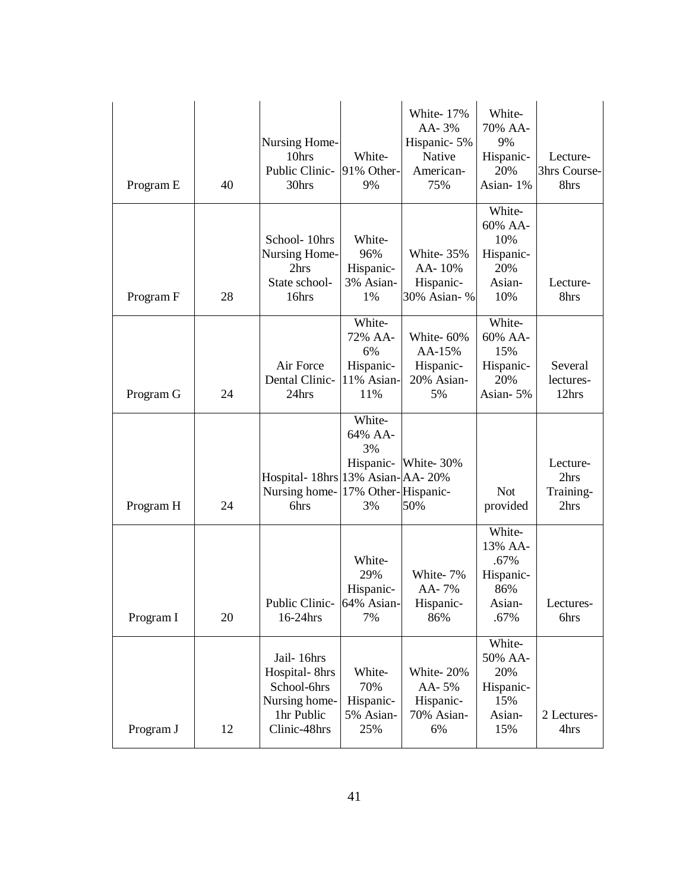| Program E | 40 | Nursing Home-<br>10hrs<br>Public Clinic-<br>30hrs                                         | White-<br>91% Other-<br>9%                                | White-17%<br>AA-3%<br>Hispanic-5%<br>Native<br>American-<br>75% | White-<br>70% AA-<br>9%<br>Hispanic-<br>20%<br>Asian-1%         | Lecture-<br>3hrs Course-<br>8hrs      |
|-----------|----|-------------------------------------------------------------------------------------------|-----------------------------------------------------------|-----------------------------------------------------------------|-----------------------------------------------------------------|---------------------------------------|
| Program F | 28 | School-10hrs<br><b>Nursing Home-</b><br>2hrs<br>State school-<br>16hrs                    | White-<br>96%<br>Hispanic-<br>3% Asian-<br>1%             | White-35%<br>AA-10%<br>Hispanic-<br>30% Asian- %                | White-<br>60% AA-<br>10%<br>Hispanic-<br>20%<br>Asian-<br>10%   | Lecture-<br>8hrs                      |
| Program G | 24 | Air Force<br>Dental Clinic-<br>24hrs                                                      | White-<br>72% AA-<br>6%<br>Hispanic-<br>11% Asian-<br>11% | White-60%<br>AA-15%<br>Hispanic-<br>20% Asian-<br>5%            | White-<br>60% AA-<br>15%<br>Hispanic-<br>20%<br>Asian-5%        | Several<br>lectures-<br>12hrs         |
| Program H | 24 | Hospital- 18hrs 13% Asian-AA-20%<br>Nursing home-17% Other-Hispanic-<br>6hrs              | White-<br>64% AA-<br>3%<br>3%                             | Hispanic- White-30%<br>50%                                      | <b>Not</b><br>provided                                          | Lecture-<br>2hrs<br>Training-<br>2hrs |
| Program I | 20 | Public Clinic- 64% Asian-<br>16-24hrs                                                     | White-<br>29%<br>Hispanic-<br>7%                          | White-7%<br>AA-7%<br>Hispanic-<br>86%                           | White-<br>13% AA-<br>.67%<br>Hispanic-<br>86%<br>Asian-<br>.67% | Lectures-<br>6hrs                     |
| Program J | 12 | Jail-16hrs<br>Hospital-8hrs<br>School-6hrs<br>Nursing home-<br>1hr Public<br>Clinic-48hrs | White-<br>70%<br>Hispanic-<br>5% Asian-<br>25%            | White-20%<br>AA-5%<br>Hispanic-<br>70% Asian-<br>6%             | White-<br>50% AA-<br>20%<br>Hispanic-<br>15%<br>Asian-<br>15%   | 2 Lectures-<br>4hrs                   |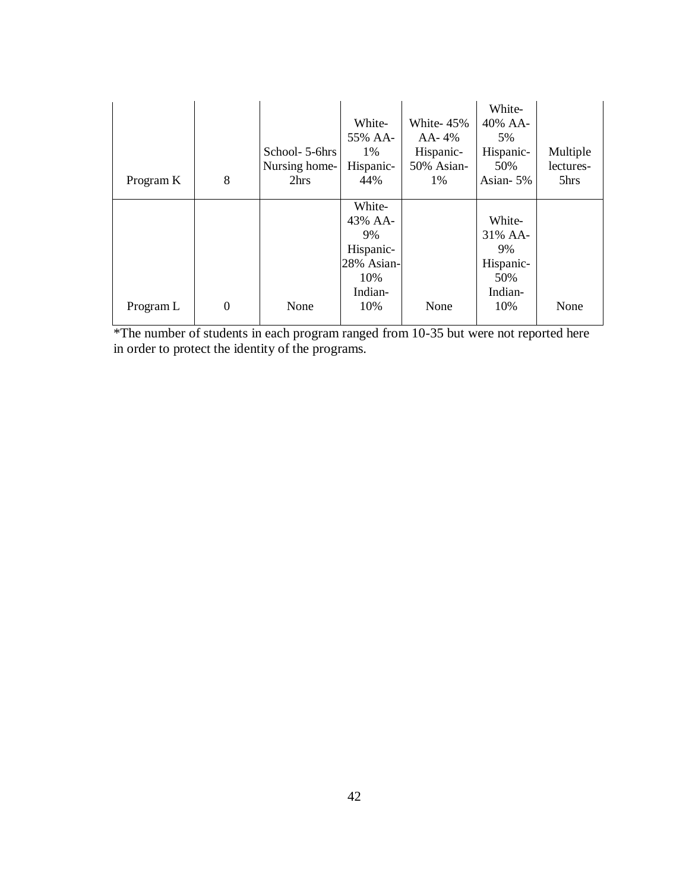| Program K | 8        | School- 5-6hrs<br>Nursing home-<br>2hrs | White-<br>55% AA-<br>$1\%$<br>Hispanic-<br>44%                       | White-45%<br>AA- 4%<br>Hispanic-<br>50% Asian-<br>$1\%$ | White-<br>40% AA-<br>5%<br>Hispanic-<br>50%<br>Asian-5% | Multiple<br>lectures-<br>5hrs |
|-----------|----------|-----------------------------------------|----------------------------------------------------------------------|---------------------------------------------------------|---------------------------------------------------------|-------------------------------|
|           |          |                                         | White-<br>43% AA-<br>9%<br>Hispanic-<br>28% Asian-<br>10%<br>Indian- |                                                         | White-<br>31% AA-<br>9%<br>Hispanic-<br>50%<br>Indian-  |                               |
| Program L | $\theta$ | None                                    | 10%                                                                  | None                                                    | 10%                                                     | None                          |

\*The number of students in each program ranged from 10-35 but were not reported here in order to protect the identity of the programs.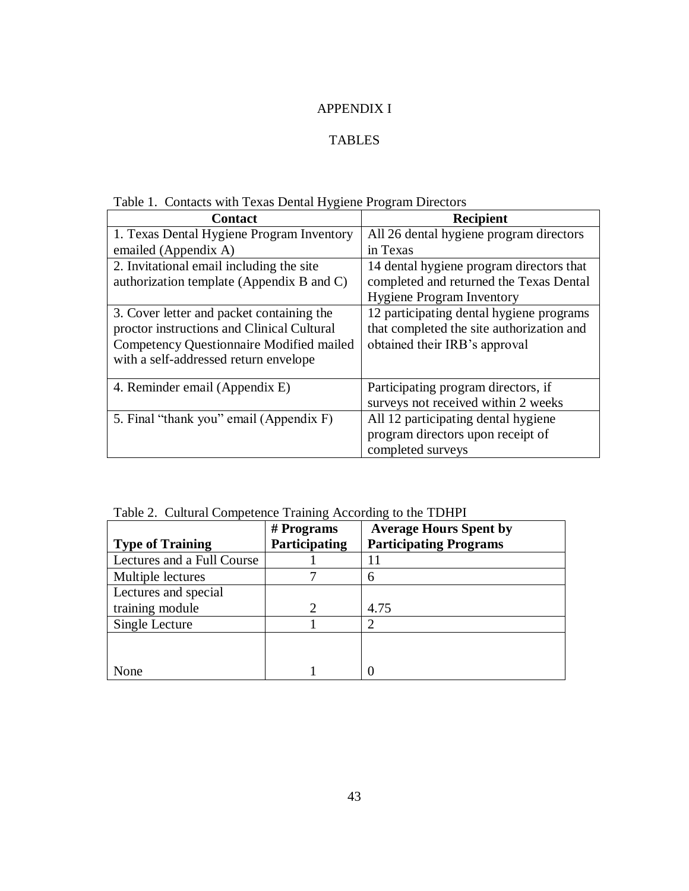# APPENDIX I

# TABLES

|  |  | Table 1. Contacts with Texas Dental Hygiene Program Directors |
|--|--|---------------------------------------------------------------|
|  |  |                                                               |

| <b>Contact</b>                             | <b>Recipient</b>                          |
|--------------------------------------------|-------------------------------------------|
| 1. Texas Dental Hygiene Program Inventory  | All 26 dental hygiene program directors   |
| emailed (Appendix A)                       | in Texas                                  |
| 2. Invitational email including the site   | 14 dental hygiene program directors that  |
| authorization template (Appendix B and C)  | completed and returned the Texas Dental   |
|                                            | <b>Hygiene Program Inventory</b>          |
| 3. Cover letter and packet containing the  | 12 participating dental hygiene programs  |
| proctor instructions and Clinical Cultural | that completed the site authorization and |
| Competency Questionnaire Modified mailed   | obtained their IRB's approval             |
| with a self-addressed return envelope      |                                           |
|                                            |                                           |
| 4. Reminder email (Appendix E)             | Participating program directors, if       |
|                                            | surveys not received within 2 weeks       |
| 5. Final "thank you" email (Appendix F)    | All 12 participating dental hygiene       |
|                                            | program directors upon receipt of         |
|                                            | completed surveys                         |

Table 2. Cultural Competence Training According to the TDHPI

|                            | $#$ Programs  | <b>Average Hours Spent by</b> |
|----------------------------|---------------|-------------------------------|
| <b>Type of Training</b>    | Participating | <b>Participating Programs</b> |
| Lectures and a Full Course |               | 11                            |
| Multiple lectures          |               | 6                             |
| Lectures and special       |               |                               |
| training module            |               | 4.75                          |
| Single Lecture             |               |                               |
|                            |               |                               |
|                            |               |                               |
| None                       |               |                               |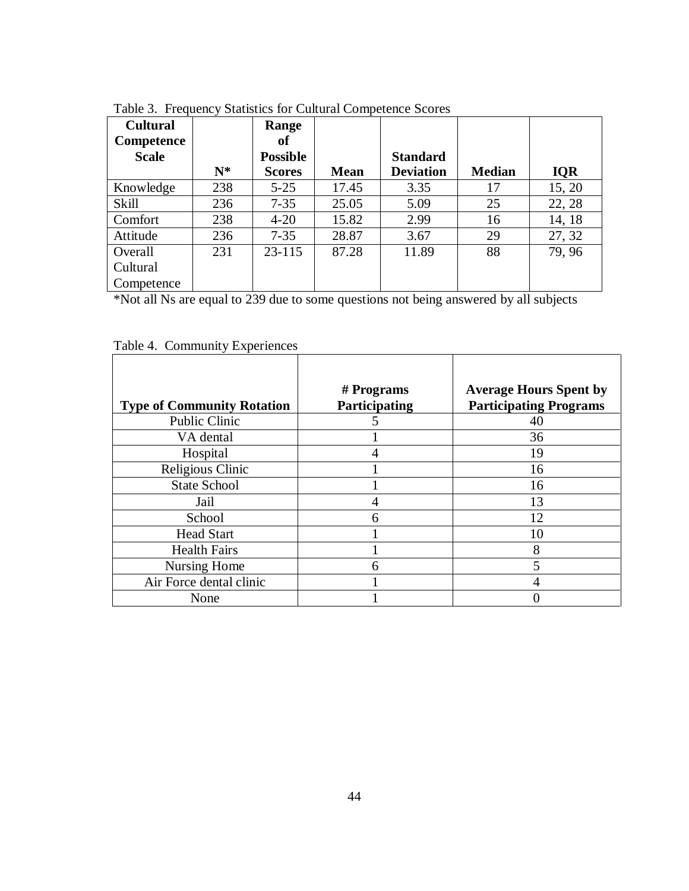| <b>Cultural</b><br><b>Competence</b> |       | Range<br>of     |             |                  |               |            |
|--------------------------------------|-------|-----------------|-------------|------------------|---------------|------------|
| <b>Scale</b>                         |       | <b>Possible</b> |             | <b>Standard</b>  |               |            |
|                                      | $N^*$ | <b>Scores</b>   | <b>Mean</b> | <b>Deviation</b> | <b>Median</b> | <b>IQR</b> |
| Knowledge                            | 238   | $5 - 25$        | 17.45       | 3.35             | 17            | 15, 20     |
| Skill                                | 236   | $7 - 35$        | 25.05       | 5.09             | 25            | 22, 28     |
| Comfort                              | 238   | $4 - 20$        | 15.82       | 2.99             | 16            | 14, 18     |
| Attitude                             | 236   | $7 - 35$        | 28.87       | 3.67             | 29            | 27, 32     |
| Overall                              | 231   | $23 - 115$      | 87.28       | 11.89            | 88            | 79, 96     |
| Cultural                             |       |                 |             |                  |               |            |
| Competence                           |       |                 |             |                  |               |            |

Table 3. Frequency Statistics for Cultural Competence Scores

\*Not all Ns are equal to 239 due to some questions not being answered by all subjects

|                                   | $#$ Programs  | <b>Average Hours Spent by</b> |
|-----------------------------------|---------------|-------------------------------|
| <b>Type of Community Rotation</b> | Participating | <b>Participating Programs</b> |
| Public Clinic                     |               | 40                            |
| VA dental                         |               | 36                            |
| Hospital                          |               | 19                            |
| Religious Clinic                  |               | 16                            |
| <b>State School</b>               |               | 16                            |
| Jail                              |               | 13                            |
| School                            | 6             | 12                            |
| <b>Head Start</b>                 |               | 10                            |
| <b>Health Fairs</b>               |               | 8                             |
| Nursing Home                      |               | 5                             |
| Air Force dental clinic           |               |                               |
| None                              |               |                               |

Table 4. Community Experiences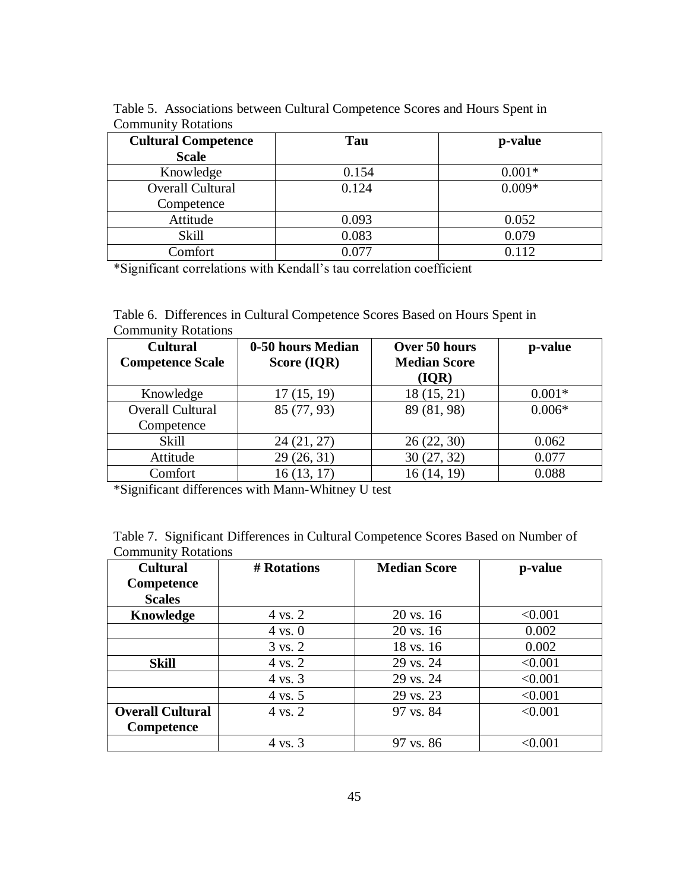| <b>Cultural Competence</b> | Tau   | p-value  |
|----------------------------|-------|----------|
| <b>Scale</b>               |       |          |
| Knowledge                  | 0.154 | $0.001*$ |
| Overall Cultural           | 0.124 | $0.009*$ |
| Competence                 |       |          |
| Attitude                   | 0.093 | 0.052    |
| Skill                      | 0.083 | 0.079    |
| Comfort                    | 0.077 | 0.112    |

Table 5. Associations between Cultural Competence Scores and Hours Spent in Community Rotations

\*Significant correlations with Kendall's tau correlation coefficient

Table 6. Differences in Cultural Competence Scores Based on Hours Spent in Community Rotations

| <b>Cultural</b>         | 0-50 hours Median |                     | p-value  |
|-------------------------|-------------------|---------------------|----------|
| <b>Competence Scale</b> | Score (IQR)       | <b>Median Score</b> |          |
|                         |                   | ( IQR)              |          |
| Knowledge               | 17(15, 19)        | 18 (15, 21)         | $0.001*$ |
| <b>Overall Cultural</b> | 85 (77, 93)       | 89 (81, 98)         | $0.006*$ |
| Competence              |                   |                     |          |
| <b>Skill</b>            | 24(21, 27)        | 26(22, 30)          | 0.062    |
| Attitude                | 29(26, 31)        | 30(27, 32)          | 0.077    |
| Comfort                 | 16(13, 17)        | 16(14, 19)          | 0.088    |

\*Significant differences with Mann-Whitney U test

| Table 7. Significant Differences in Cultural Competence Scores Based on Number of |  |  |  |
|-----------------------------------------------------------------------------------|--|--|--|
| <b>Community Rotations</b>                                                        |  |  |  |

| <b>Cultural</b>         | # Rotations        | <b>Median Score</b>  | p-value |
|-------------------------|--------------------|----------------------|---------|
| Competence              |                    |                      |         |
| <b>Scales</b>           |                    |                      |         |
| Knowledge               | $4 \text{ vs. } 2$ | $20 \text{ vs. } 16$ | < 0.001 |
|                         | $4 \text{ vs. } 0$ | $20 \text{ vs. } 16$ | 0.002   |
|                         | 3 vs. 2            | 18 vs. 16            | 0.002   |
| <b>Skill</b>            | $4 \text{ vs. } 2$ | 29 vs. 24            | < 0.001 |
|                         | 4 vs. 3            | 29 vs. 24            | < 0.001 |
|                         | $4 \text{ vs. } 5$ | 29 vs. 23            | < 0.001 |
| <b>Overall Cultural</b> | 4 vs. 2            | 97 vs. 84            | < 0.001 |
| <b>Competence</b>       |                    |                      |         |
|                         | 4 vs. 3            | 97 vs. 86            | < 0.001 |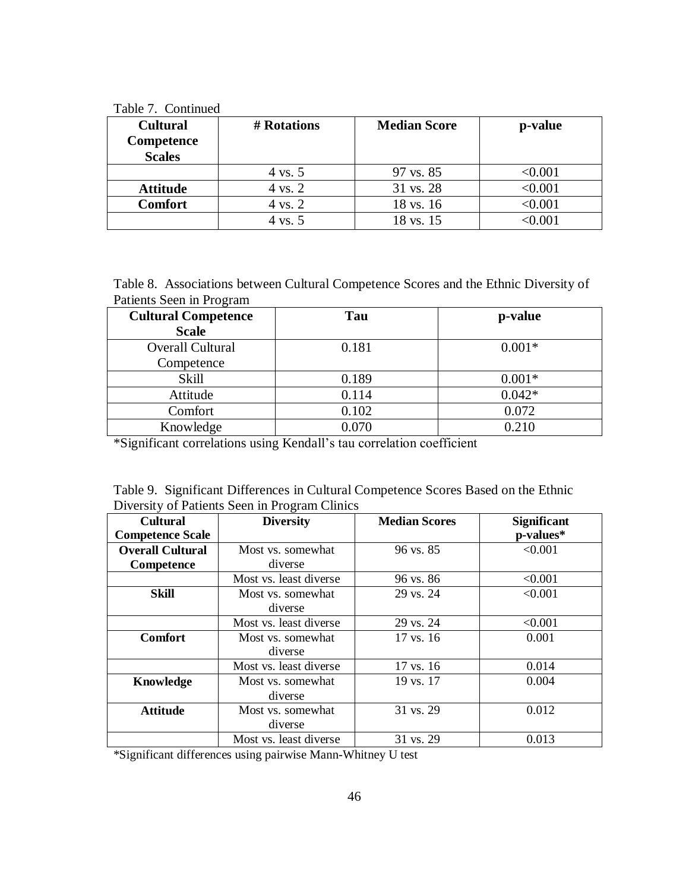Table 7. Continued

| <b>Cultural</b><br>Competence<br><b>Scales</b> | # Rotations | <b>Median Score</b> | p-value        |
|------------------------------------------------|-------------|---------------------|----------------|
|                                                | 4 vs. 5     | 97 vs. 85           | $<\!\!0.001$   |
| <b>Attitude</b>                                | 4 vs. 2     | 31 vs. 28           | $<$ 0.001 $\,$ |
| <b>Comfort</b>                                 | 4 vs. 2     | 18 vs. 16           | < 0.001        |
|                                                | 4 vs. 5     | 18 vs. 15           | :0.001         |

Table 8. Associations between Cultural Competence Scores and the Ethnic Diversity of Patients Seen in Program

| <b>Cultural Competence</b> | Tau   | p-value  |
|----------------------------|-------|----------|
| <b>Scale</b>               |       |          |
| <b>Overall Cultural</b>    | 0.181 | $0.001*$ |
| Competence                 |       |          |
| Skill                      | 0.189 | $0.001*$ |
| Attitude                   | 0.114 | $0.042*$ |
| Comfort                    | 0.102 | 0.072    |
| Knowledge                  | 0.070 | 0.210    |

\*Significant correlations using Kendall's tau correlation coefficient

|  |                                               | Table 9. Significant Differences in Cultural Competence Scores Based on the Ethnic |  |  |
|--|-----------------------------------------------|------------------------------------------------------------------------------------|--|--|
|  | Diversity of Patients Seen in Program Clinics |                                                                                    |  |  |

| <b>Cultural</b>         | <b>Diversity</b>       | <b>Median Scores</b> | <b>Significant</b> |
|-------------------------|------------------------|----------------------|--------------------|
| <b>Competence Scale</b> |                        |                      | p-values*          |
| <b>Overall Cultural</b> | Most vs. somewhat      | 96 vs. 85            | < 0.001            |
| Competence              | diverse                |                      |                    |
|                         | Most vs. least diverse | 96 vs. 86            | < 0.001            |
| <b>Skill</b>            | Most vs. somewhat      | 29 vs. 24            | < 0.001            |
|                         | diverse                |                      |                    |
|                         | Most vs. least diverse | 29 vs. 24            | < 0.001            |
| <b>Comfort</b>          | Most vs. somewhat      | 17 vs. 16            | 0.001              |
|                         | diverse                |                      |                    |
|                         | Most vs. least diverse | 17 vs. 16            | 0.014              |
| <b>Knowledge</b>        | Most vs. somewhat      | 19 vs. 17            | 0.004              |
|                         | diverse                |                      |                    |
| <b>Attitude</b>         | Most vs. somewhat      | 31 vs. 29            | 0.012              |
|                         | diverse                |                      |                    |
|                         | Most vs. least diverse | 31 vs. 29            | 0.013              |

\*Significant differences using pairwise Mann-Whitney U test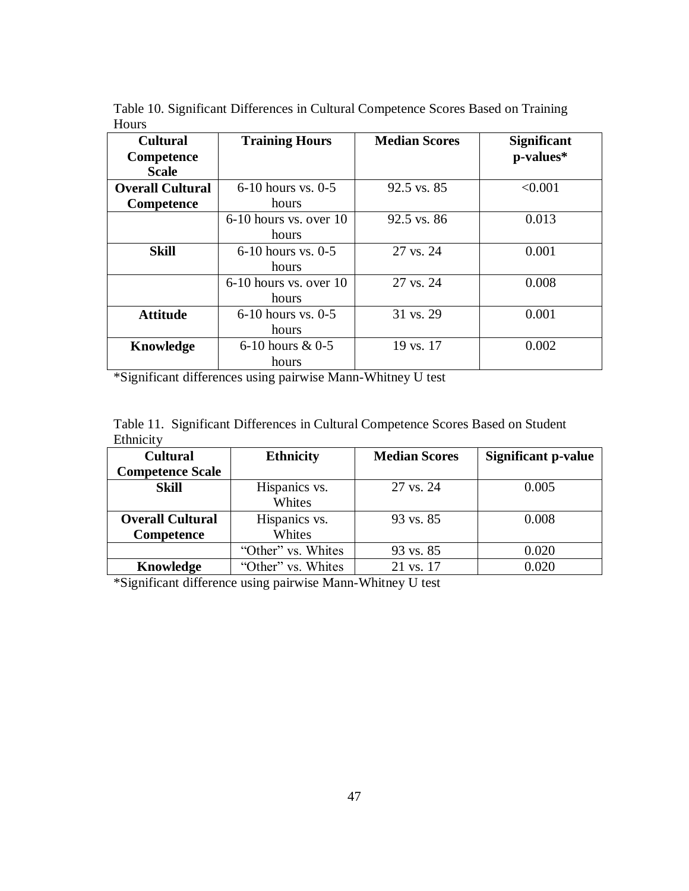Table 10. Significant Differences in Cultural Competence Scores Based on Training Hours

| <b>Cultural</b><br>Competence<br><b>Scale</b> | <b>Training Hours</b>             | <b>Median Scores</b> | <b>Significant</b><br>p-values* |
|-----------------------------------------------|-----------------------------------|----------------------|---------------------------------|
| <b>Overall Cultural</b>                       | $6-10$ hours vs. 0-5              | 92.5 vs. 85          | < 0.001                         |
| Competence                                    | hours                             |                      |                                 |
|                                               | $6-10$ hours vs. over 10<br>hours | 92.5 vs. 86          | 0.013                           |
| <b>Skill</b>                                  | $6-10$ hours vs. $0-5$<br>hours   | 27 vs. 24            | 0.001                           |
|                                               | $6-10$ hours vs. over 10<br>hours | 27 vs. 24            | 0.008                           |
| <b>Attitude</b>                               | $6-10$ hours vs. $0-5$<br>hours   | 31 vs. 29            | 0.001                           |
| Knowledge                                     | 6-10 hours $& 0.5$<br>hours       | 19 vs. 17            | 0.002                           |

\*Significant differences using pairwise Mann-Whitney U test

|           |  | Table 11. Significant Differences in Cultural Competence Scores Based on Student |  |  |
|-----------|--|----------------------------------------------------------------------------------|--|--|
| Ethnicity |  |                                                                                  |  |  |

| <b>Cultural</b>         | <b>Ethnicity</b>   | <b>Median Scores</b> | <b>Significant p-value</b> |
|-------------------------|--------------------|----------------------|----------------------------|
| <b>Competence Scale</b> |                    |                      |                            |
| <b>Skill</b>            | Hispanics vs.      | 27 vs. 24            | 0.005                      |
|                         | Whites             |                      |                            |
| <b>Overall Cultural</b> | Hispanics vs.      | 93 vs. 85            | 0.008                      |
| Competence              | Whites             |                      |                            |
|                         | "Other" vs. Whites | 93 vs. 85            | 0.020                      |
| Knowledge               | "Other" vs. Whites | 21 vs. 17            | 0.020                      |

\*Significant difference using pairwise Mann-Whitney U test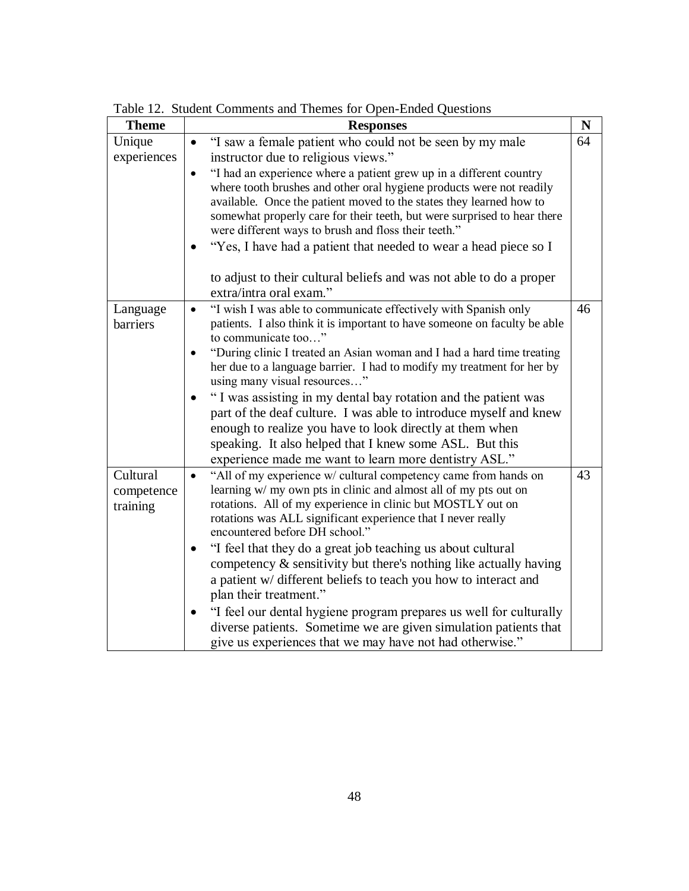| <b>Theme</b> | <b>Responses</b>                                                                                                                            | N  |
|--------------|---------------------------------------------------------------------------------------------------------------------------------------------|----|
| Unique       | "I saw a female patient who could not be seen by my male<br>$\bullet$                                                                       | 64 |
| experiences  | instructor due to religious views."                                                                                                         |    |
|              | "I had an experience where a patient grew up in a different country                                                                         |    |
|              | where tooth brushes and other oral hygiene products were not readily<br>available. Once the patient moved to the states they learned how to |    |
|              | somewhat properly care for their teeth, but were surprised to hear there                                                                    |    |
|              | were different ways to brush and floss their teeth."                                                                                        |    |
|              | "Yes, I have had a patient that needed to wear a head piece so I                                                                            |    |
|              | to adjust to their cultural beliefs and was not able to do a proper<br>extra/intra oral exam."                                              |    |
| Language     | "I wish I was able to communicate effectively with Spanish only<br>$\bullet$                                                                | 46 |
| barriers     | patients. I also think it is important to have someone on faculty be able                                                                   |    |
|              | to communicate too"                                                                                                                         |    |
|              | "During clinic I treated an Asian woman and I had a hard time treating                                                                      |    |
|              | her due to a language barrier. I had to modify my treatment for her by<br>using many visual resources"                                      |    |
|              | "I was assisting in my dental bay rotation and the patient was                                                                              |    |
|              | part of the deaf culture. I was able to introduce myself and knew                                                                           |    |
|              | enough to realize you have to look directly at them when                                                                                    |    |
|              | speaking. It also helped that I knew some ASL. But this                                                                                     |    |
|              | experience made me want to learn more dentistry ASL."                                                                                       |    |
| Cultural     | "All of my experience w/ cultural competency came from hands on<br>learning w/ my own pts in clinic and almost all of my pts out on         | 43 |
| competence   | rotations. All of my experience in clinic but MOSTLY out on                                                                                 |    |
| training     | rotations was ALL significant experience that I never really                                                                                |    |
|              | encountered before DH school."                                                                                                              |    |
|              | "I feel that they do a great job teaching us about cultural                                                                                 |    |
|              | competency $\&$ sensitivity but there's nothing like actually having                                                                        |    |
|              | a patient w/ different beliefs to teach you how to interact and                                                                             |    |
|              | plan their treatment."                                                                                                                      |    |
|              | "I feel our dental hygiene program prepares us well for culturally                                                                          |    |
|              | diverse patients. Sometime we are given simulation patients that                                                                            |    |
|              | give us experiences that we may have not had otherwise."                                                                                    |    |

Table 12. Student Comments and Themes for Open-Ended Questions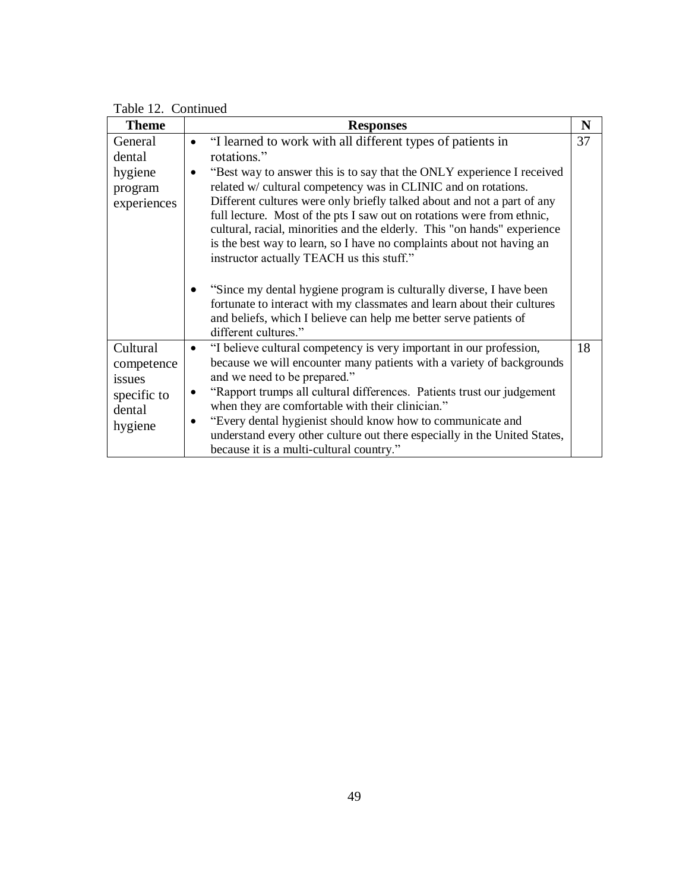| <b>Theme</b>                                                         | <b>Responses</b>                                                                                                                                                                                                                                                                                                                                                                                                                                                                                                                                                             | N  |
|----------------------------------------------------------------------|------------------------------------------------------------------------------------------------------------------------------------------------------------------------------------------------------------------------------------------------------------------------------------------------------------------------------------------------------------------------------------------------------------------------------------------------------------------------------------------------------------------------------------------------------------------------------|----|
| General<br>dental<br>hygiene<br>program<br>experiences               | "I learned to work with all different types of patients in<br>rotations."<br>"Best way to answer this is to say that the ONLY experience I received<br>related w/ cultural competency was in CLINIC and on rotations.<br>Different cultures were only briefly talked about and not a part of any<br>full lecture. Most of the pts I saw out on rotations were from ethnic,<br>cultural, racial, minorities and the elderly. This "on hands" experience<br>is the best way to learn, so I have no complaints about not having an<br>instructor actually TEACH us this stuff." | 37 |
|                                                                      | "Since my dental hygiene program is culturally diverse, I have been<br>fortunate to interact with my classmates and learn about their cultures<br>and beliefs, which I believe can help me better serve patients of<br>different cultures."                                                                                                                                                                                                                                                                                                                                  |    |
| Cultural<br>competence<br>issues<br>specific to<br>dental<br>hygiene | "I believe cultural competency is very important in our profession,<br>because we will encounter many patients with a variety of backgrounds<br>and we need to be prepared."<br>"Rapport trumps all cultural differences. Patients trust our judgement<br>when they are comfortable with their clinician."<br>"Every dental hygienist should know how to communicate and<br>understand every other culture out there especially in the United States,<br>because it is a multi-cultural country."                                                                            | 18 |

Table 12. Continued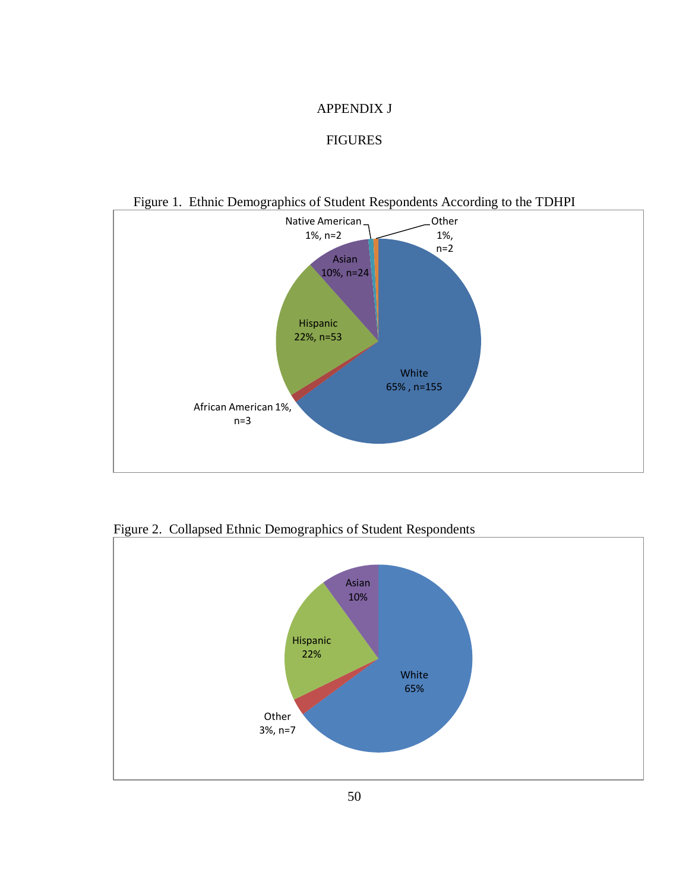#### APPENDIX J

#### FIGURES



Figure 1. Ethnic Demographics of Student Respondents According to the TDHPI

Figure 2. Collapsed Ethnic Demographics of Student Respondents